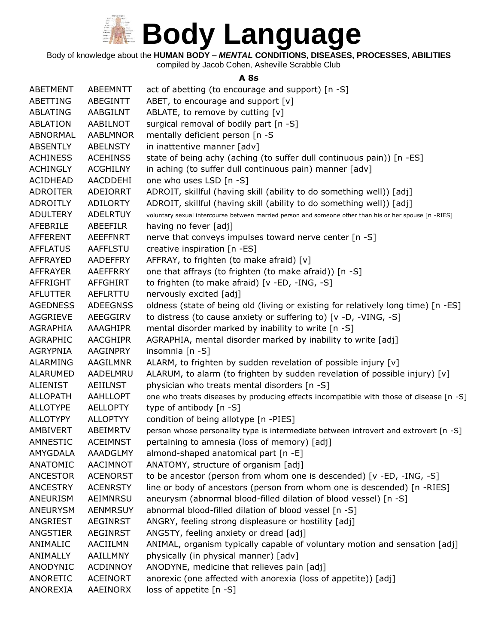

Body of knowledge about the **HUMAN BODY –** *MENTAL* **CONDITIONS, DISEASES, PROCESSES, ABILITIES**

compiled by Jacob Cohen, Asheville Scrabble Club

#### **A 8s**

| <b>ABETMENT</b> | ABEEMNTT        | act of abetting (to encourage and support) [n -S]                                                      |
|-----------------|-----------------|--------------------------------------------------------------------------------------------------------|
| ABETTING        | ABEGINTT        | ABET, to encourage and support [v]                                                                     |
| ABLATING        | AABGILNT        | ABLATE, to remove by cutting [v]                                                                       |
| <b>ABLATION</b> | AABILNOT        | surgical removal of bodily part [n -S]                                                                 |
| ABNORMAL        | <b>AABLMNOR</b> | mentally deficient person [n -S                                                                        |
| <b>ABSENTLY</b> | <b>ABELNSTY</b> | in inattentive manner [adv]                                                                            |
| <b>ACHINESS</b> | <b>ACEHINSS</b> | state of being achy (aching (to suffer dull continuous pain)) [n -ES]                                  |
| <b>ACHINGLY</b> | <b>ACGHILNY</b> | in aching (to suffer dull continuous pain) manner [adv]                                                |
| <b>ACIDHEAD</b> | AACDDEHI        | one who uses LSD [n -S]                                                                                |
| <b>ADROITER</b> | <b>ADEIORRT</b> | ADROIT, skillful (having skill (ability to do something well)) [adj]                                   |
| <b>ADROITLY</b> | <b>ADILORTY</b> | ADROIT, skillful (having skill (ability to do something well)) [adj]                                   |
| <b>ADULTERY</b> | <b>ADELRTUY</b> | voluntary sexual intercourse between married person and someone other than his or her spouse [n -RIES] |
| AFEBRILE        | ABEEFILR        | having no fever [adj]                                                                                  |
| AFFERENT        | <b>AEEFFNRT</b> | nerve that conveys impulses toward nerve center [n -S]                                                 |
| <b>AFFLATUS</b> | <b>AAFFLSTU</b> | creative inspiration [n -ES]                                                                           |
| AFFRAYED        | <b>AADEFFRY</b> | AFFRAY, to frighten (to make afraid) [v]                                                               |
| AFFRAYER        | AAEFFRRY        | one that affrays (to frighten (to make afraid)) [n -S]                                                 |
| AFFRIGHT        | AFFGHIRT        | to frighten (to make afraid) [v -ED, -ING, -S]                                                         |
| <b>AFLUTTER</b> | AEFLRTTU        | nervously excited [adj]                                                                                |
| <b>AGEDNESS</b> | <b>ADEEGNSS</b> | oldness (state of being old (living or existing for relatively long time) [n -ES]                      |
| <b>AGGRIEVE</b> | AEEGGIRV        | to distress (to cause anxiety or suffering to) [v -D, -VING, -S]                                       |
| AGRAPHIA        | AAAGHIPR        | mental disorder marked by inability to write [n -S]                                                    |
| <b>AGRAPHIC</b> | <b>AACGHIPR</b> | AGRAPHIA, mental disorder marked by inability to write [adj]                                           |
| <b>AGRYPNIA</b> | <b>AAGINPRY</b> | insomnia [n -S]                                                                                        |
| <b>ALARMING</b> | AAGILMNR        | ALARM, to frighten by sudden revelation of possible injury [v]                                         |
| ALARUMED        | AADELMRU        | ALARUM, to alarm (to frighten by sudden revelation of possible injury) [v]                             |
| <b>ALIENIST</b> | <b>AEIILNST</b> | physician who treats mental disorders [n -S]                                                           |
| <b>ALLOPATH</b> | AAHLLOPT        | one who treats diseases by producing effects incompatible with those of disease [n -S]                 |
| <b>ALLOTYPE</b> | <b>AELLOPTY</b> | type of antibody [n -S]                                                                                |
| <b>ALLOTYPY</b> | <b>ALLOPTYY</b> | condition of being allotype [n -PIES]                                                                  |
| AMBIVERT        | ABEIMRTV        | person whose personality type is intermediate between introvert and extrovert [n -S]                   |
| AMNESTIC        | <b>ACEIMNST</b> | pertaining to amnesia (loss of memory) [adj]                                                           |
| AMYGDALA        | <b>AAADGLMY</b> | almond-shaped anatomical part [n -E]                                                                   |
| ANATOMIC        | AACIMNOT        | ANATOMY, structure of organism [adj]                                                                   |
| <b>ANCESTOR</b> | <b>ACENORST</b> | to be ancestor (person from whom one is descended) [v -ED, -ING, -S]                                   |
| <b>ANCESTRY</b> | <b>ACENRSTY</b> | line or body of ancestors (person from whom one is descended) [n -RIES]                                |
| ANEURISM        | AEIMNRSU        | aneurysm (abnormal blood-filled dilation of blood vessel) [n -S]                                       |
| ANEURYSM        | <b>AENMRSUY</b> | abnormal blood-filled dilation of blood vessel [n -S]                                                  |
| ANGRIEST        | <b>AEGINRST</b> | ANGRY, feeling strong displeasure or hostility [adj]                                                   |
| ANGSTIER        | <b>AEGINRST</b> | ANGSTY, feeling anxiety or dread [adj]                                                                 |
| ANIMALIC        | AACIILMN        | ANIMAL, organism typically capable of voluntary motion and sensation [adj]                             |
| ANIMALLY        | AAILLMNY        | physically (in physical manner) [adv]                                                                  |
| ANODYNIC        | <b>ACDINNOY</b> | ANODYNE, medicine that relieves pain [adj]                                                             |
| ANORETIC        | <b>ACEINORT</b> | anorexic (one affected with anorexia (loss of appetite)) [adj]                                         |
| ANOREXIA        | AAEINORX        | loss of appetite [n -S]                                                                                |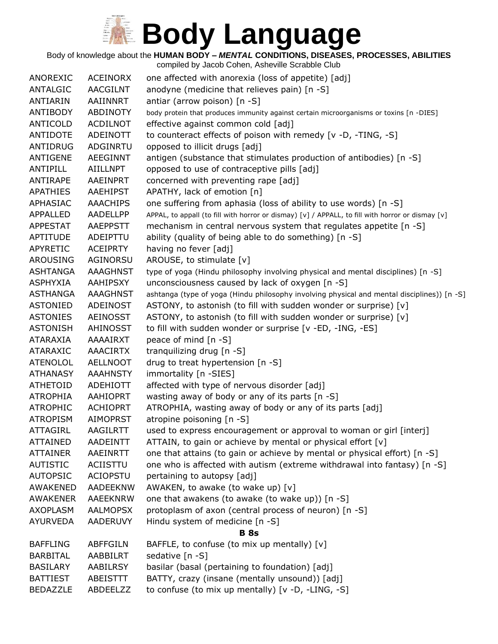Body of knowledge about the **HUMAN BODY –** *MENTAL* **CONDITIONS, DISEASES, PROCESSES, ABILITIES**

| <b>ACEINORX</b><br>one affected with anorexia (loss of appetite) [adj]<br>ANOREXIC<br><b>AACGILNT</b><br>anodyne (medicine that relieves pain) [n -S]<br>ANTALGIC<br><b>ANTIARIN</b><br>AAIINNRT<br>antiar (arrow poison) [n -S]<br><b>ANTIBODY</b><br><b>ABDINOTY</b><br>body protein that produces immunity against certain microorganisms or toxins [n -DIES]<br><b>ANTICOLD</b><br><b>ACDILNOT</b><br>effective against common cold [adj]<br>to counteract effects of poison with remedy [v -D, -TING, -S]<br><b>ANTIDOTE</b><br>ADEINOTT<br>ANTIDRUG<br>ADGINRTU<br>opposed to illicit drugs [adj]<br><b>ANTIGENE</b><br><b>AEEGINNT</b><br>antigen (substance that stimulates production of antibodies) [n -S]<br>opposed to use of contraceptive pills [adj]<br>ANTIPILL<br><b>AIILLNPT</b><br>concerned with preventing rape [adj]<br>ANTIRAPE<br>AAEINPRT<br><b>APATHIES</b><br>AAEHIPST<br>APATHY, lack of emotion [n]<br>one suffering from aphasia (loss of ability to use words) [n -S]<br>APHASIAC<br><b>AAACHIPS</b><br>AADELLPP<br>APPAL, to appall (to fill with horror or dismay) [v] / APPALL, to fill with horror or dismay [v]<br>APPALLED<br>mechanism in central nervous system that regulates appetite [n -S]<br><b>APPESTAT</b><br><b>AAEPPSTT</b><br>ability (quality of being able to do something) [n -S]<br>APTITUDE<br>ADEIPTTU<br>having no fever [adj]<br><b>APYRETIC</b><br><b>ACEIPRTY</b><br><b>AROUSING</b><br>AGINORSU<br>AROUSE, to stimulate [v]<br><b>AAAGHNST</b><br><b>ASHTANGA</b><br>type of yoga (Hindu philosophy involving physical and mental disciplines) [n -S]<br>unconsciousness caused by lack of oxygen [n -S]<br>ASPHYXIA<br>AAHIPSXY<br><b>ASTHANGA</b><br><b>AAAGHNST</b><br><b>ASTONIED</b><br><b>ADEINOST</b><br>ASTONY, to astonish (to fill with sudden wonder or surprise) [v]<br>ASTONY, to astonish (to fill with sudden wonder or surprise) [v]<br><b>ASTONIES</b><br><b>AEINOSST</b><br><b>ASTONISH</b><br><b>AHINOSST</b><br>to fill with sudden wonder or surprise [v -ED, -ING, -ES]<br>peace of mind [n -S]<br>AAAAIRXT<br>ATARAXIA<br><b>AAACIRTX</b><br>tranquilizing drug [n -S]<br><b>ATARAXIC</b><br>drug to treat hypertension [n -S]<br><b>ATENOLOL</b><br><b>AELLNOOT</b><br><b>ATHANASY</b><br><b>AAAHNSTY</b><br>immortality [n -SIES]<br><b>ATHETOID</b><br><b>ADEHIOTT</b><br>affected with type of nervous disorder [adj]<br><b>ATROPHIA</b><br><b>AAHIOPRT</b><br>wasting away of body or any of its parts [n -S]<br>ATROPHIA, wasting away of body or any of its parts [adj]<br><b>ATROPHIC</b><br><b>ACHIOPRT</b><br>atropine poisoning [n -S]<br><b>ATROPISM</b><br><b>AIMOPRST</b><br><b>ATTAGIRL</b><br><b>AAGILRTT</b><br>used to express encouragement or approval to woman or girl [interj]<br><b>ATTAINED</b><br><b>AADEINTT</b><br>ATTAIN, to gain or achieve by mental or physical effort [v]<br><b>ATTAINER</b><br>AAEINRTT<br>one that attains (to gain or achieve by mental or physical effort) [n -S]<br>one who is affected with autism (extreme withdrawal into fantasy) [n -S]<br><b>AUTISTIC</b><br>ACIISTTU<br><b>AUTOPSIC</b><br><b>ACIOPSTU</b><br>pertaining to autopsy [adj]<br><b>AWAKENED</b><br><b>AADEEKNW</b><br>AWAKEN, to awake (to wake up) [v]<br><b>AWAKENER</b><br>AAEEKNRW<br>one that awakens (to awake (to wake up)) [n -S]<br>protoplasm of axon (central process of neuron) [n -S]<br><b>AXOPLASM</b><br><b>AALMOPSX</b><br>Hindu system of medicine [n -S]<br>AYURVEDA<br>AADERUVY<br><b>B</b> 8s<br><b>ABFFGILN</b><br>BAFFLE, to confuse (to mix up mentally) [v]<br><b>BAFFLING</b><br><b>BARBITAL</b><br>AABBILRT<br>sedative [n -S]<br>basilar (basal (pertaining to foundation) [adj]<br><b>BASILARY</b><br>AABILRSY<br>BATTY, crazy (insane (mentally unsound)) [adj]<br><b>BATTIEST</b><br>ABEISTTT<br>to confuse (to mix up mentally) [v -D, -LING, -S]<br><b>BEDAZZLE</b><br>ABDEELZZ |  |                                                                                             |
|------------------------------------------------------------------------------------------------------------------------------------------------------------------------------------------------------------------------------------------------------------------------------------------------------------------------------------------------------------------------------------------------------------------------------------------------------------------------------------------------------------------------------------------------------------------------------------------------------------------------------------------------------------------------------------------------------------------------------------------------------------------------------------------------------------------------------------------------------------------------------------------------------------------------------------------------------------------------------------------------------------------------------------------------------------------------------------------------------------------------------------------------------------------------------------------------------------------------------------------------------------------------------------------------------------------------------------------------------------------------------------------------------------------------------------------------------------------------------------------------------------------------------------------------------------------------------------------------------------------------------------------------------------------------------------------------------------------------------------------------------------------------------------------------------------------------------------------------------------------------------------------------------------------------------------------------------------------------------------------------------------------------------------------------------------------------------------------------------------------------------------------------------------------------------------------------------------------------------------------------------------------------------------------------------------------------------------------------------------------------------------------------------------------------------------------------------------------------------------------------------------------------------------------------------------------------------------------------------------------------------------------------------------------------------------------------------------------------------------------------------------------------------------------------------------------------------------------------------------------------------------------------------------------------------------------------------------------------------------------------------------------------------------------------------------------------------------------------------------------------------------------------------------------------------------------------------------------------------------------------------------------------------------------------------------------------------------------------------------------------------------------------------------------------------------------------------------------------------------------------------------------------------------------------------------------------------------------------------------------------------------------------------------------------------------------------------------------------------------------------------------------------------------------------------------------------------------------------------------------------------------------------------------------------------|--|---------------------------------------------------------------------------------------------|
|                                                                                                                                                                                                                                                                                                                                                                                                                                                                                                                                                                                                                                                                                                                                                                                                                                                                                                                                                                                                                                                                                                                                                                                                                                                                                                                                                                                                                                                                                                                                                                                                                                                                                                                                                                                                                                                                                                                                                                                                                                                                                                                                                                                                                                                                                                                                                                                                                                                                                                                                                                                                                                                                                                                                                                                                                                                                                                                                                                                                                                                                                                                                                                                                                                                                                                                                                                                                                                                                                                                                                                                                                                                                                                                                                                                                                                                                                                                              |  |                                                                                             |
|                                                                                                                                                                                                                                                                                                                                                                                                                                                                                                                                                                                                                                                                                                                                                                                                                                                                                                                                                                                                                                                                                                                                                                                                                                                                                                                                                                                                                                                                                                                                                                                                                                                                                                                                                                                                                                                                                                                                                                                                                                                                                                                                                                                                                                                                                                                                                                                                                                                                                                                                                                                                                                                                                                                                                                                                                                                                                                                                                                                                                                                                                                                                                                                                                                                                                                                                                                                                                                                                                                                                                                                                                                                                                                                                                                                                                                                                                                                              |  |                                                                                             |
|                                                                                                                                                                                                                                                                                                                                                                                                                                                                                                                                                                                                                                                                                                                                                                                                                                                                                                                                                                                                                                                                                                                                                                                                                                                                                                                                                                                                                                                                                                                                                                                                                                                                                                                                                                                                                                                                                                                                                                                                                                                                                                                                                                                                                                                                                                                                                                                                                                                                                                                                                                                                                                                                                                                                                                                                                                                                                                                                                                                                                                                                                                                                                                                                                                                                                                                                                                                                                                                                                                                                                                                                                                                                                                                                                                                                                                                                                                                              |  |                                                                                             |
|                                                                                                                                                                                                                                                                                                                                                                                                                                                                                                                                                                                                                                                                                                                                                                                                                                                                                                                                                                                                                                                                                                                                                                                                                                                                                                                                                                                                                                                                                                                                                                                                                                                                                                                                                                                                                                                                                                                                                                                                                                                                                                                                                                                                                                                                                                                                                                                                                                                                                                                                                                                                                                                                                                                                                                                                                                                                                                                                                                                                                                                                                                                                                                                                                                                                                                                                                                                                                                                                                                                                                                                                                                                                                                                                                                                                                                                                                                                              |  |                                                                                             |
|                                                                                                                                                                                                                                                                                                                                                                                                                                                                                                                                                                                                                                                                                                                                                                                                                                                                                                                                                                                                                                                                                                                                                                                                                                                                                                                                                                                                                                                                                                                                                                                                                                                                                                                                                                                                                                                                                                                                                                                                                                                                                                                                                                                                                                                                                                                                                                                                                                                                                                                                                                                                                                                                                                                                                                                                                                                                                                                                                                                                                                                                                                                                                                                                                                                                                                                                                                                                                                                                                                                                                                                                                                                                                                                                                                                                                                                                                                                              |  |                                                                                             |
|                                                                                                                                                                                                                                                                                                                                                                                                                                                                                                                                                                                                                                                                                                                                                                                                                                                                                                                                                                                                                                                                                                                                                                                                                                                                                                                                                                                                                                                                                                                                                                                                                                                                                                                                                                                                                                                                                                                                                                                                                                                                                                                                                                                                                                                                                                                                                                                                                                                                                                                                                                                                                                                                                                                                                                                                                                                                                                                                                                                                                                                                                                                                                                                                                                                                                                                                                                                                                                                                                                                                                                                                                                                                                                                                                                                                                                                                                                                              |  |                                                                                             |
|                                                                                                                                                                                                                                                                                                                                                                                                                                                                                                                                                                                                                                                                                                                                                                                                                                                                                                                                                                                                                                                                                                                                                                                                                                                                                                                                                                                                                                                                                                                                                                                                                                                                                                                                                                                                                                                                                                                                                                                                                                                                                                                                                                                                                                                                                                                                                                                                                                                                                                                                                                                                                                                                                                                                                                                                                                                                                                                                                                                                                                                                                                                                                                                                                                                                                                                                                                                                                                                                                                                                                                                                                                                                                                                                                                                                                                                                                                                              |  |                                                                                             |
|                                                                                                                                                                                                                                                                                                                                                                                                                                                                                                                                                                                                                                                                                                                                                                                                                                                                                                                                                                                                                                                                                                                                                                                                                                                                                                                                                                                                                                                                                                                                                                                                                                                                                                                                                                                                                                                                                                                                                                                                                                                                                                                                                                                                                                                                                                                                                                                                                                                                                                                                                                                                                                                                                                                                                                                                                                                                                                                                                                                                                                                                                                                                                                                                                                                                                                                                                                                                                                                                                                                                                                                                                                                                                                                                                                                                                                                                                                                              |  |                                                                                             |
|                                                                                                                                                                                                                                                                                                                                                                                                                                                                                                                                                                                                                                                                                                                                                                                                                                                                                                                                                                                                                                                                                                                                                                                                                                                                                                                                                                                                                                                                                                                                                                                                                                                                                                                                                                                                                                                                                                                                                                                                                                                                                                                                                                                                                                                                                                                                                                                                                                                                                                                                                                                                                                                                                                                                                                                                                                                                                                                                                                                                                                                                                                                                                                                                                                                                                                                                                                                                                                                                                                                                                                                                                                                                                                                                                                                                                                                                                                                              |  |                                                                                             |
|                                                                                                                                                                                                                                                                                                                                                                                                                                                                                                                                                                                                                                                                                                                                                                                                                                                                                                                                                                                                                                                                                                                                                                                                                                                                                                                                                                                                                                                                                                                                                                                                                                                                                                                                                                                                                                                                                                                                                                                                                                                                                                                                                                                                                                                                                                                                                                                                                                                                                                                                                                                                                                                                                                                                                                                                                                                                                                                                                                                                                                                                                                                                                                                                                                                                                                                                                                                                                                                                                                                                                                                                                                                                                                                                                                                                                                                                                                                              |  |                                                                                             |
|                                                                                                                                                                                                                                                                                                                                                                                                                                                                                                                                                                                                                                                                                                                                                                                                                                                                                                                                                                                                                                                                                                                                                                                                                                                                                                                                                                                                                                                                                                                                                                                                                                                                                                                                                                                                                                                                                                                                                                                                                                                                                                                                                                                                                                                                                                                                                                                                                                                                                                                                                                                                                                                                                                                                                                                                                                                                                                                                                                                                                                                                                                                                                                                                                                                                                                                                                                                                                                                                                                                                                                                                                                                                                                                                                                                                                                                                                                                              |  |                                                                                             |
|                                                                                                                                                                                                                                                                                                                                                                                                                                                                                                                                                                                                                                                                                                                                                                                                                                                                                                                                                                                                                                                                                                                                                                                                                                                                                                                                                                                                                                                                                                                                                                                                                                                                                                                                                                                                                                                                                                                                                                                                                                                                                                                                                                                                                                                                                                                                                                                                                                                                                                                                                                                                                                                                                                                                                                                                                                                                                                                                                                                                                                                                                                                                                                                                                                                                                                                                                                                                                                                                                                                                                                                                                                                                                                                                                                                                                                                                                                                              |  |                                                                                             |
|                                                                                                                                                                                                                                                                                                                                                                                                                                                                                                                                                                                                                                                                                                                                                                                                                                                                                                                                                                                                                                                                                                                                                                                                                                                                                                                                                                                                                                                                                                                                                                                                                                                                                                                                                                                                                                                                                                                                                                                                                                                                                                                                                                                                                                                                                                                                                                                                                                                                                                                                                                                                                                                                                                                                                                                                                                                                                                                                                                                                                                                                                                                                                                                                                                                                                                                                                                                                                                                                                                                                                                                                                                                                                                                                                                                                                                                                                                                              |  |                                                                                             |
|                                                                                                                                                                                                                                                                                                                                                                                                                                                                                                                                                                                                                                                                                                                                                                                                                                                                                                                                                                                                                                                                                                                                                                                                                                                                                                                                                                                                                                                                                                                                                                                                                                                                                                                                                                                                                                                                                                                                                                                                                                                                                                                                                                                                                                                                                                                                                                                                                                                                                                                                                                                                                                                                                                                                                                                                                                                                                                                                                                                                                                                                                                                                                                                                                                                                                                                                                                                                                                                                                                                                                                                                                                                                                                                                                                                                                                                                                                                              |  |                                                                                             |
|                                                                                                                                                                                                                                                                                                                                                                                                                                                                                                                                                                                                                                                                                                                                                                                                                                                                                                                                                                                                                                                                                                                                                                                                                                                                                                                                                                                                                                                                                                                                                                                                                                                                                                                                                                                                                                                                                                                                                                                                                                                                                                                                                                                                                                                                                                                                                                                                                                                                                                                                                                                                                                                                                                                                                                                                                                                                                                                                                                                                                                                                                                                                                                                                                                                                                                                                                                                                                                                                                                                                                                                                                                                                                                                                                                                                                                                                                                                              |  |                                                                                             |
|                                                                                                                                                                                                                                                                                                                                                                                                                                                                                                                                                                                                                                                                                                                                                                                                                                                                                                                                                                                                                                                                                                                                                                                                                                                                                                                                                                                                                                                                                                                                                                                                                                                                                                                                                                                                                                                                                                                                                                                                                                                                                                                                                                                                                                                                                                                                                                                                                                                                                                                                                                                                                                                                                                                                                                                                                                                                                                                                                                                                                                                                                                                                                                                                                                                                                                                                                                                                                                                                                                                                                                                                                                                                                                                                                                                                                                                                                                                              |  |                                                                                             |
|                                                                                                                                                                                                                                                                                                                                                                                                                                                                                                                                                                                                                                                                                                                                                                                                                                                                                                                                                                                                                                                                                                                                                                                                                                                                                                                                                                                                                                                                                                                                                                                                                                                                                                                                                                                                                                                                                                                                                                                                                                                                                                                                                                                                                                                                                                                                                                                                                                                                                                                                                                                                                                                                                                                                                                                                                                                                                                                                                                                                                                                                                                                                                                                                                                                                                                                                                                                                                                                                                                                                                                                                                                                                                                                                                                                                                                                                                                                              |  |                                                                                             |
|                                                                                                                                                                                                                                                                                                                                                                                                                                                                                                                                                                                                                                                                                                                                                                                                                                                                                                                                                                                                                                                                                                                                                                                                                                                                                                                                                                                                                                                                                                                                                                                                                                                                                                                                                                                                                                                                                                                                                                                                                                                                                                                                                                                                                                                                                                                                                                                                                                                                                                                                                                                                                                                                                                                                                                                                                                                                                                                                                                                                                                                                                                                                                                                                                                                                                                                                                                                                                                                                                                                                                                                                                                                                                                                                                                                                                                                                                                                              |  |                                                                                             |
|                                                                                                                                                                                                                                                                                                                                                                                                                                                                                                                                                                                                                                                                                                                                                                                                                                                                                                                                                                                                                                                                                                                                                                                                                                                                                                                                                                                                                                                                                                                                                                                                                                                                                                                                                                                                                                                                                                                                                                                                                                                                                                                                                                                                                                                                                                                                                                                                                                                                                                                                                                                                                                                                                                                                                                                                                                                                                                                                                                                                                                                                                                                                                                                                                                                                                                                                                                                                                                                                                                                                                                                                                                                                                                                                                                                                                                                                                                                              |  |                                                                                             |
|                                                                                                                                                                                                                                                                                                                                                                                                                                                                                                                                                                                                                                                                                                                                                                                                                                                                                                                                                                                                                                                                                                                                                                                                                                                                                                                                                                                                                                                                                                                                                                                                                                                                                                                                                                                                                                                                                                                                                                                                                                                                                                                                                                                                                                                                                                                                                                                                                                                                                                                                                                                                                                                                                                                                                                                                                                                                                                                                                                                                                                                                                                                                                                                                                                                                                                                                                                                                                                                                                                                                                                                                                                                                                                                                                                                                                                                                                                                              |  | ashtanga (type of yoga (Hindu philosophy involving physical and mental disciplines)) [n -S] |
|                                                                                                                                                                                                                                                                                                                                                                                                                                                                                                                                                                                                                                                                                                                                                                                                                                                                                                                                                                                                                                                                                                                                                                                                                                                                                                                                                                                                                                                                                                                                                                                                                                                                                                                                                                                                                                                                                                                                                                                                                                                                                                                                                                                                                                                                                                                                                                                                                                                                                                                                                                                                                                                                                                                                                                                                                                                                                                                                                                                                                                                                                                                                                                                                                                                                                                                                                                                                                                                                                                                                                                                                                                                                                                                                                                                                                                                                                                                              |  |                                                                                             |
|                                                                                                                                                                                                                                                                                                                                                                                                                                                                                                                                                                                                                                                                                                                                                                                                                                                                                                                                                                                                                                                                                                                                                                                                                                                                                                                                                                                                                                                                                                                                                                                                                                                                                                                                                                                                                                                                                                                                                                                                                                                                                                                                                                                                                                                                                                                                                                                                                                                                                                                                                                                                                                                                                                                                                                                                                                                                                                                                                                                                                                                                                                                                                                                                                                                                                                                                                                                                                                                                                                                                                                                                                                                                                                                                                                                                                                                                                                                              |  |                                                                                             |
|                                                                                                                                                                                                                                                                                                                                                                                                                                                                                                                                                                                                                                                                                                                                                                                                                                                                                                                                                                                                                                                                                                                                                                                                                                                                                                                                                                                                                                                                                                                                                                                                                                                                                                                                                                                                                                                                                                                                                                                                                                                                                                                                                                                                                                                                                                                                                                                                                                                                                                                                                                                                                                                                                                                                                                                                                                                                                                                                                                                                                                                                                                                                                                                                                                                                                                                                                                                                                                                                                                                                                                                                                                                                                                                                                                                                                                                                                                                              |  |                                                                                             |
|                                                                                                                                                                                                                                                                                                                                                                                                                                                                                                                                                                                                                                                                                                                                                                                                                                                                                                                                                                                                                                                                                                                                                                                                                                                                                                                                                                                                                                                                                                                                                                                                                                                                                                                                                                                                                                                                                                                                                                                                                                                                                                                                                                                                                                                                                                                                                                                                                                                                                                                                                                                                                                                                                                                                                                                                                                                                                                                                                                                                                                                                                                                                                                                                                                                                                                                                                                                                                                                                                                                                                                                                                                                                                                                                                                                                                                                                                                                              |  |                                                                                             |
|                                                                                                                                                                                                                                                                                                                                                                                                                                                                                                                                                                                                                                                                                                                                                                                                                                                                                                                                                                                                                                                                                                                                                                                                                                                                                                                                                                                                                                                                                                                                                                                                                                                                                                                                                                                                                                                                                                                                                                                                                                                                                                                                                                                                                                                                                                                                                                                                                                                                                                                                                                                                                                                                                                                                                                                                                                                                                                                                                                                                                                                                                                                                                                                                                                                                                                                                                                                                                                                                                                                                                                                                                                                                                                                                                                                                                                                                                                                              |  |                                                                                             |
|                                                                                                                                                                                                                                                                                                                                                                                                                                                                                                                                                                                                                                                                                                                                                                                                                                                                                                                                                                                                                                                                                                                                                                                                                                                                                                                                                                                                                                                                                                                                                                                                                                                                                                                                                                                                                                                                                                                                                                                                                                                                                                                                                                                                                                                                                                                                                                                                                                                                                                                                                                                                                                                                                                                                                                                                                                                                                                                                                                                                                                                                                                                                                                                                                                                                                                                                                                                                                                                                                                                                                                                                                                                                                                                                                                                                                                                                                                                              |  |                                                                                             |
|                                                                                                                                                                                                                                                                                                                                                                                                                                                                                                                                                                                                                                                                                                                                                                                                                                                                                                                                                                                                                                                                                                                                                                                                                                                                                                                                                                                                                                                                                                                                                                                                                                                                                                                                                                                                                                                                                                                                                                                                                                                                                                                                                                                                                                                                                                                                                                                                                                                                                                                                                                                                                                                                                                                                                                                                                                                                                                                                                                                                                                                                                                                                                                                                                                                                                                                                                                                                                                                                                                                                                                                                                                                                                                                                                                                                                                                                                                                              |  |                                                                                             |
|                                                                                                                                                                                                                                                                                                                                                                                                                                                                                                                                                                                                                                                                                                                                                                                                                                                                                                                                                                                                                                                                                                                                                                                                                                                                                                                                                                                                                                                                                                                                                                                                                                                                                                                                                                                                                                                                                                                                                                                                                                                                                                                                                                                                                                                                                                                                                                                                                                                                                                                                                                                                                                                                                                                                                                                                                                                                                                                                                                                                                                                                                                                                                                                                                                                                                                                                                                                                                                                                                                                                                                                                                                                                                                                                                                                                                                                                                                                              |  |                                                                                             |
|                                                                                                                                                                                                                                                                                                                                                                                                                                                                                                                                                                                                                                                                                                                                                                                                                                                                                                                                                                                                                                                                                                                                                                                                                                                                                                                                                                                                                                                                                                                                                                                                                                                                                                                                                                                                                                                                                                                                                                                                                                                                                                                                                                                                                                                                                                                                                                                                                                                                                                                                                                                                                                                                                                                                                                                                                                                                                                                                                                                                                                                                                                                                                                                                                                                                                                                                                                                                                                                                                                                                                                                                                                                                                                                                                                                                                                                                                                                              |  |                                                                                             |
|                                                                                                                                                                                                                                                                                                                                                                                                                                                                                                                                                                                                                                                                                                                                                                                                                                                                                                                                                                                                                                                                                                                                                                                                                                                                                                                                                                                                                                                                                                                                                                                                                                                                                                                                                                                                                                                                                                                                                                                                                                                                                                                                                                                                                                                                                                                                                                                                                                                                                                                                                                                                                                                                                                                                                                                                                                                                                                                                                                                                                                                                                                                                                                                                                                                                                                                                                                                                                                                                                                                                                                                                                                                                                                                                                                                                                                                                                                                              |  |                                                                                             |
|                                                                                                                                                                                                                                                                                                                                                                                                                                                                                                                                                                                                                                                                                                                                                                                                                                                                                                                                                                                                                                                                                                                                                                                                                                                                                                                                                                                                                                                                                                                                                                                                                                                                                                                                                                                                                                                                                                                                                                                                                                                                                                                                                                                                                                                                                                                                                                                                                                                                                                                                                                                                                                                                                                                                                                                                                                                                                                                                                                                                                                                                                                                                                                                                                                                                                                                                                                                                                                                                                                                                                                                                                                                                                                                                                                                                                                                                                                                              |  |                                                                                             |
|                                                                                                                                                                                                                                                                                                                                                                                                                                                                                                                                                                                                                                                                                                                                                                                                                                                                                                                                                                                                                                                                                                                                                                                                                                                                                                                                                                                                                                                                                                                                                                                                                                                                                                                                                                                                                                                                                                                                                                                                                                                                                                                                                                                                                                                                                                                                                                                                                                                                                                                                                                                                                                                                                                                                                                                                                                                                                                                                                                                                                                                                                                                                                                                                                                                                                                                                                                                                                                                                                                                                                                                                                                                                                                                                                                                                                                                                                                                              |  |                                                                                             |
|                                                                                                                                                                                                                                                                                                                                                                                                                                                                                                                                                                                                                                                                                                                                                                                                                                                                                                                                                                                                                                                                                                                                                                                                                                                                                                                                                                                                                                                                                                                                                                                                                                                                                                                                                                                                                                                                                                                                                                                                                                                                                                                                                                                                                                                                                                                                                                                                                                                                                                                                                                                                                                                                                                                                                                                                                                                                                                                                                                                                                                                                                                                                                                                                                                                                                                                                                                                                                                                                                                                                                                                                                                                                                                                                                                                                                                                                                                                              |  |                                                                                             |
|                                                                                                                                                                                                                                                                                                                                                                                                                                                                                                                                                                                                                                                                                                                                                                                                                                                                                                                                                                                                                                                                                                                                                                                                                                                                                                                                                                                                                                                                                                                                                                                                                                                                                                                                                                                                                                                                                                                                                                                                                                                                                                                                                                                                                                                                                                                                                                                                                                                                                                                                                                                                                                                                                                                                                                                                                                                                                                                                                                                                                                                                                                                                                                                                                                                                                                                                                                                                                                                                                                                                                                                                                                                                                                                                                                                                                                                                                                                              |  |                                                                                             |
|                                                                                                                                                                                                                                                                                                                                                                                                                                                                                                                                                                                                                                                                                                                                                                                                                                                                                                                                                                                                                                                                                                                                                                                                                                                                                                                                                                                                                                                                                                                                                                                                                                                                                                                                                                                                                                                                                                                                                                                                                                                                                                                                                                                                                                                                                                                                                                                                                                                                                                                                                                                                                                                                                                                                                                                                                                                                                                                                                                                                                                                                                                                                                                                                                                                                                                                                                                                                                                                                                                                                                                                                                                                                                                                                                                                                                                                                                                                              |  |                                                                                             |
|                                                                                                                                                                                                                                                                                                                                                                                                                                                                                                                                                                                                                                                                                                                                                                                                                                                                                                                                                                                                                                                                                                                                                                                                                                                                                                                                                                                                                                                                                                                                                                                                                                                                                                                                                                                                                                                                                                                                                                                                                                                                                                                                                                                                                                                                                                                                                                                                                                                                                                                                                                                                                                                                                                                                                                                                                                                                                                                                                                                                                                                                                                                                                                                                                                                                                                                                                                                                                                                                                                                                                                                                                                                                                                                                                                                                                                                                                                                              |  |                                                                                             |
|                                                                                                                                                                                                                                                                                                                                                                                                                                                                                                                                                                                                                                                                                                                                                                                                                                                                                                                                                                                                                                                                                                                                                                                                                                                                                                                                                                                                                                                                                                                                                                                                                                                                                                                                                                                                                                                                                                                                                                                                                                                                                                                                                                                                                                                                                                                                                                                                                                                                                                                                                                                                                                                                                                                                                                                                                                                                                                                                                                                                                                                                                                                                                                                                                                                                                                                                                                                                                                                                                                                                                                                                                                                                                                                                                                                                                                                                                                                              |  |                                                                                             |
|                                                                                                                                                                                                                                                                                                                                                                                                                                                                                                                                                                                                                                                                                                                                                                                                                                                                                                                                                                                                                                                                                                                                                                                                                                                                                                                                                                                                                                                                                                                                                                                                                                                                                                                                                                                                                                                                                                                                                                                                                                                                                                                                                                                                                                                                                                                                                                                                                                                                                                                                                                                                                                                                                                                                                                                                                                                                                                                                                                                                                                                                                                                                                                                                                                                                                                                                                                                                                                                                                                                                                                                                                                                                                                                                                                                                                                                                                                                              |  |                                                                                             |
|                                                                                                                                                                                                                                                                                                                                                                                                                                                                                                                                                                                                                                                                                                                                                                                                                                                                                                                                                                                                                                                                                                                                                                                                                                                                                                                                                                                                                                                                                                                                                                                                                                                                                                                                                                                                                                                                                                                                                                                                                                                                                                                                                                                                                                                                                                                                                                                                                                                                                                                                                                                                                                                                                                                                                                                                                                                                                                                                                                                                                                                                                                                                                                                                                                                                                                                                                                                                                                                                                                                                                                                                                                                                                                                                                                                                                                                                                                                              |  |                                                                                             |
|                                                                                                                                                                                                                                                                                                                                                                                                                                                                                                                                                                                                                                                                                                                                                                                                                                                                                                                                                                                                                                                                                                                                                                                                                                                                                                                                                                                                                                                                                                                                                                                                                                                                                                                                                                                                                                                                                                                                                                                                                                                                                                                                                                                                                                                                                                                                                                                                                                                                                                                                                                                                                                                                                                                                                                                                                                                                                                                                                                                                                                                                                                                                                                                                                                                                                                                                                                                                                                                                                                                                                                                                                                                                                                                                                                                                                                                                                                                              |  |                                                                                             |
|                                                                                                                                                                                                                                                                                                                                                                                                                                                                                                                                                                                                                                                                                                                                                                                                                                                                                                                                                                                                                                                                                                                                                                                                                                                                                                                                                                                                                                                                                                                                                                                                                                                                                                                                                                                                                                                                                                                                                                                                                                                                                                                                                                                                                                                                                                                                                                                                                                                                                                                                                                                                                                                                                                                                                                                                                                                                                                                                                                                                                                                                                                                                                                                                                                                                                                                                                                                                                                                                                                                                                                                                                                                                                                                                                                                                                                                                                                                              |  |                                                                                             |
|                                                                                                                                                                                                                                                                                                                                                                                                                                                                                                                                                                                                                                                                                                                                                                                                                                                                                                                                                                                                                                                                                                                                                                                                                                                                                                                                                                                                                                                                                                                                                                                                                                                                                                                                                                                                                                                                                                                                                                                                                                                                                                                                                                                                                                                                                                                                                                                                                                                                                                                                                                                                                                                                                                                                                                                                                                                                                                                                                                                                                                                                                                                                                                                                                                                                                                                                                                                                                                                                                                                                                                                                                                                                                                                                                                                                                                                                                                                              |  |                                                                                             |
|                                                                                                                                                                                                                                                                                                                                                                                                                                                                                                                                                                                                                                                                                                                                                                                                                                                                                                                                                                                                                                                                                                                                                                                                                                                                                                                                                                                                                                                                                                                                                                                                                                                                                                                                                                                                                                                                                                                                                                                                                                                                                                                                                                                                                                                                                                                                                                                                                                                                                                                                                                                                                                                                                                                                                                                                                                                                                                                                                                                                                                                                                                                                                                                                                                                                                                                                                                                                                                                                                                                                                                                                                                                                                                                                                                                                                                                                                                                              |  |                                                                                             |
|                                                                                                                                                                                                                                                                                                                                                                                                                                                                                                                                                                                                                                                                                                                                                                                                                                                                                                                                                                                                                                                                                                                                                                                                                                                                                                                                                                                                                                                                                                                                                                                                                                                                                                                                                                                                                                                                                                                                                                                                                                                                                                                                                                                                                                                                                                                                                                                                                                                                                                                                                                                                                                                                                                                                                                                                                                                                                                                                                                                                                                                                                                                                                                                                                                                                                                                                                                                                                                                                                                                                                                                                                                                                                                                                                                                                                                                                                                                              |  |                                                                                             |
|                                                                                                                                                                                                                                                                                                                                                                                                                                                                                                                                                                                                                                                                                                                                                                                                                                                                                                                                                                                                                                                                                                                                                                                                                                                                                                                                                                                                                                                                                                                                                                                                                                                                                                                                                                                                                                                                                                                                                                                                                                                                                                                                                                                                                                                                                                                                                                                                                                                                                                                                                                                                                                                                                                                                                                                                                                                                                                                                                                                                                                                                                                                                                                                                                                                                                                                                                                                                                                                                                                                                                                                                                                                                                                                                                                                                                                                                                                                              |  |                                                                                             |
|                                                                                                                                                                                                                                                                                                                                                                                                                                                                                                                                                                                                                                                                                                                                                                                                                                                                                                                                                                                                                                                                                                                                                                                                                                                                                                                                                                                                                                                                                                                                                                                                                                                                                                                                                                                                                                                                                                                                                                                                                                                                                                                                                                                                                                                                                                                                                                                                                                                                                                                                                                                                                                                                                                                                                                                                                                                                                                                                                                                                                                                                                                                                                                                                                                                                                                                                                                                                                                                                                                                                                                                                                                                                                                                                                                                                                                                                                                                              |  |                                                                                             |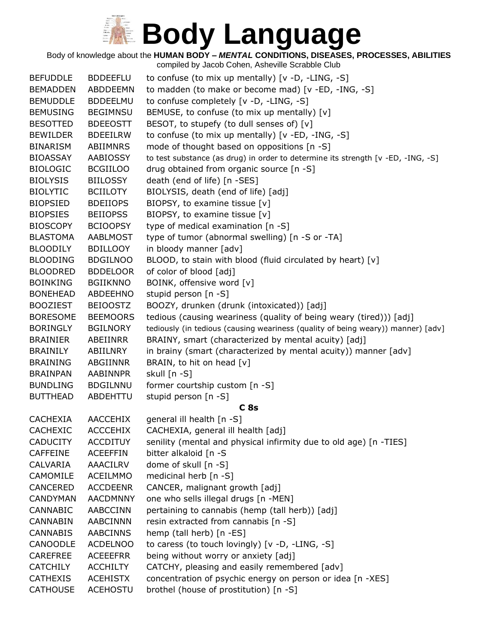Body of knowledge about the **HUMAN BODY –** *MENTAL* **CONDITIONS, DISEASES, PROCESSES, ABILITIES**

| <b>BEFUDDLE</b> | <b>BDDEEFLU</b> | to confuse (to mix up mentally) $[v -D, -LING, -S]$                              |
|-----------------|-----------------|----------------------------------------------------------------------------------|
| <b>BEMADDEN</b> | ABDDEEMN        | to madden (to make or become mad) [v -ED, -ING, -S]                              |
| <b>BEMUDDLE</b> | <b>BDDEELMU</b> | to confuse completely [v -D, -LING, -S]                                          |
| <b>BEMUSING</b> | <b>BEGIMNSU</b> | BEMUSE, to confuse (to mix up mentally) [v]                                      |
| <b>BESOTTED</b> | <b>BDEEOSTT</b> | BESOT, to stupefy (to dull senses of) [v]                                        |
| <b>BEWILDER</b> | <b>BDEEILRW</b> | to confuse (to mix up mentally) [v -ED, -ING, -S]                                |
| <b>BINARISM</b> | ABIIMNRS        | mode of thought based on oppositions [n -S]                                      |
| <b>BIOASSAY</b> | <b>AABIOSSY</b> | to test substance (as drug) in order to determine its strength [v -ED, -ING, -S] |
| <b>BIOLOGIC</b> | <b>BCGIILOO</b> | drug obtained from organic source [n -S]                                         |
| <b>BIOLYSIS</b> | <b>BIILOSSY</b> | death (end of life) [n -SES]                                                     |
| <b>BIOLYTIC</b> | <b>BCIILOTY</b> | BIOLYSIS, death (end of life) [adj]                                              |
| <b>BIOPSIED</b> | <b>BDEIIOPS</b> | BIOPSY, to examine tissue [v]                                                    |
| <b>BIOPSIES</b> | <b>BEIIOPSS</b> | BIOPSY, to examine tissue [v]                                                    |
| <b>BIOSCOPY</b> | <b>BCIOOPSY</b> | type of medical examination [n -S]                                               |
| <b>BLASTOMA</b> | <b>AABLMOST</b> | type of tumor (abnormal swelling) [n -S or -TA]                                  |
| <b>BLOODILY</b> | <b>BDILLOOY</b> | in bloody manner [adv]                                                           |
|                 |                 |                                                                                  |
| <b>BLOODING</b> | <b>BDGILNOO</b> | BLOOD, to stain with blood (fluid circulated by heart) [v]                       |
| <b>BLOODRED</b> | <b>BDDELOOR</b> | of color of blood [adj]                                                          |
| <b>BOINKING</b> | <b>BGIIKNNO</b> | BOINK, offensive word [v]                                                        |
| <b>BONEHEAD</b> | <b>ABDEEHNO</b> | stupid person [n -S]                                                             |
| <b>BOOZIEST</b> | <b>BEIOOSTZ</b> | BOOZY, drunken (drunk (intoxicated)) [adj]                                       |
| <b>BORESOME</b> | <b>BEEMOORS</b> | tedious (causing weariness (quality of being weary (tired))) [adj]               |
| <b>BORINGLY</b> | <b>BGILNORY</b> | tediously (in tedious (causing weariness (quality of being weary)) manner) [adv] |
| <b>BRAINIER</b> | ABEIINRR        | BRAINY, smart (characterized by mental acuity) [adj]                             |
| <b>BRAINILY</b> | ABIILNRY        | in brainy (smart (characterized by mental acuity)) manner [adv]                  |
| <b>BRAINING</b> | ABGIINNR        | BRAIN, to hit on head [v]                                                        |
| <b>BRAINPAN</b> | AABINNPR        | skull [n -S]                                                                     |
| <b>BUNDLING</b> | <b>BDGILNNU</b> | former courtship custom [n -S]                                                   |
| <b>BUTTHEAD</b> | ABDEHTTU        | stupid person [n -S]                                                             |
|                 |                 | C <sub>8s</sub>                                                                  |
| <b>CACHEXIA</b> | <b>AACCEHIX</b> | general ill health [n -S]                                                        |
| CACHEXIC        | <b>ACCCEHIX</b> | CACHEXIA, general ill health [adj]                                               |
| <b>CADUCITY</b> | <b>ACCDITUY</b> | senility (mental and physical infirmity due to old age) [n -TIES]                |
| <b>CAFFEINE</b> | <b>ACEEFFIN</b> | bitter alkaloid [n -S                                                            |
| CALVARIA        | <b>AAACILRV</b> | dome of skull [n -S]                                                             |
| CAMOMILE        | <b>ACEILMMO</b> | medicinal herb [n -S]                                                            |
| <b>CANCERED</b> | <b>ACCDEENR</b> | CANCER, malignant growth [adj]                                                   |
| <b>CANDYMAN</b> | <b>AACDMNNY</b> | one who sells illegal drugs [n -MEN]                                             |
| <b>CANNABIC</b> | AABCCINN        | pertaining to cannabis (hemp (tall herb)) [adj]                                  |
| <b>CANNABIN</b> | AABCINNN        | resin extracted from cannabis [n -S]                                             |
| <b>CANNABIS</b> | <b>AABCINNS</b> | hemp (tall herb) [n -ES]                                                         |
| CANOODLE        | <b>ACDELNOO</b> | to caress (to touch lovingly) [v -D, -LING, -S]                                  |
| <b>CAREFREE</b> | <b>ACEEEFRR</b> | being without worry or anxiety [adj]                                             |
| <b>CATCHILY</b> | <b>ACCHILTY</b> | CATCHY, pleasing and easily remembered [adv]                                     |
| <b>CATHEXIS</b> | <b>ACEHISTX</b> | concentration of psychic energy on person or idea [n -XES]                       |
| <b>CATHOUSE</b> | <b>ACEHOSTU</b> | brothel (house of prostitution) [n -S]                                           |
|                 |                 |                                                                                  |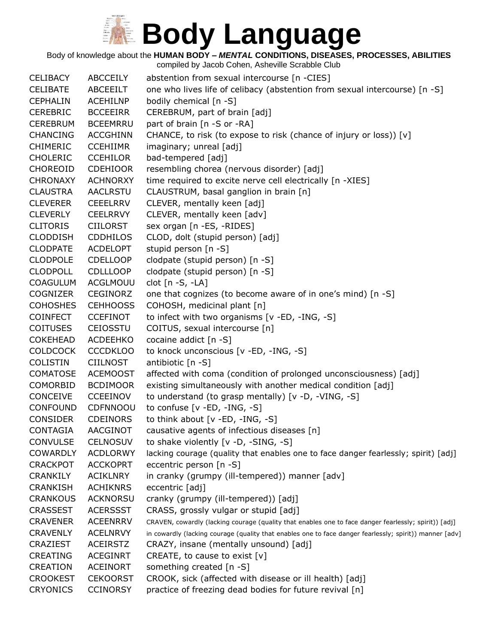Body of knowledge about the **HUMAN BODY –** *MENTAL* **CONDITIONS, DISEASES, PROCESSES, ABILITIES**

| <b>CELIBACY</b> | <b>ABCCEILY</b> | abstention from sexual intercourse [n -CIES]                                                            |
|-----------------|-----------------|---------------------------------------------------------------------------------------------------------|
| <b>CELIBATE</b> | ABCEEILT        | one who lives life of celibacy (abstention from sexual intercourse) [n -S]                              |
| <b>CEPHALIN</b> | <b>ACEHILNP</b> | bodily chemical [n -S]                                                                                  |
| <b>CEREBRIC</b> | <b>BCCEEIRR</b> | CEREBRUM, part of brain [adj]                                                                           |
| <b>CEREBRUM</b> | <b>BCEEMRRU</b> | part of brain [n -S or -RA]                                                                             |
| <b>CHANCING</b> | <b>ACCGHINN</b> | CHANCE, to risk (to expose to risk (chance of injury or loss)) [v]                                      |
| <b>CHIMERIC</b> | <b>CCEHIIMR</b> | imaginary; unreal [adj]                                                                                 |
| <b>CHOLERIC</b> | <b>CCEHILOR</b> | bad-tempered [adj]                                                                                      |
| CHOREOID        | <b>CDEHIOOR</b> | resembling chorea (nervous disorder) [adj]                                                              |
| <b>CHRONAXY</b> | <b>ACHNORXY</b> | time required to excite nerve cell electrically [n -XIES]                                               |
| <b>CLAUSTRA</b> | <b>AACLRSTU</b> | CLAUSTRUM, basal ganglion in brain [n]                                                                  |
| <b>CLEVERER</b> | <b>CEEELRRV</b> | CLEVER, mentally keen [adj]                                                                             |
| <b>CLEVERLY</b> | <b>CEELRRVY</b> | CLEVER, mentally keen [adv]                                                                             |
| <b>CLITORIS</b> | <b>CIILORST</b> | sex organ [n -ES, -RIDES]                                                                               |
| <b>CLODDISH</b> | <b>CDDHILOS</b> | CLOD, dolt (stupid person) [adj]                                                                        |
| <b>CLODPATE</b> | <b>ACDELOPT</b> | stupid person [n -S]                                                                                    |
| <b>CLODPOLE</b> | <b>CDELLOOP</b> | clodpate (stupid person) [n -S]                                                                         |
| <b>CLODPOLL</b> | <b>CDLLLOOP</b> | clodpate (stupid person) [n -S]                                                                         |
| <b>COAGULUM</b> | ACGLMOUU        | clot $[n - S, -LA]$                                                                                     |
| COGNIZER        | <b>CEGINORZ</b> | one that cognizes (to become aware of in one's mind) [n -S]                                             |
| <b>COHOSHES</b> | <b>CEHHOOSS</b> | COHOSH, medicinal plant [n]                                                                             |
| <b>COINFECT</b> | <b>CCEFINOT</b> | to infect with two organisms [v -ED, -ING, -S]                                                          |
| <b>COITUSES</b> |                 | COITUS, sexual intercourse [n]                                                                          |
|                 | <b>CEIOSSTU</b> |                                                                                                         |
| <b>COKEHEAD</b> | <b>ACDEEHKO</b> | cocaine addict [n -S]                                                                                   |
| <b>COLDCOCK</b> | <b>CCCDKLOO</b> | to knock unconscious [v -ED, -ING, -S]                                                                  |
| <b>COLISTIN</b> | <b>CIILNOST</b> | antibiotic [n -S]                                                                                       |
| <b>COMATOSE</b> | <b>ACEMOOST</b> | affected with coma (condition of prolonged unconsciousness) [adj]                                       |
| <b>COMORBID</b> | <b>BCDIMOOR</b> | existing simultaneously with another medical condition [adj]                                            |
| <b>CONCEIVE</b> | <b>CCEEINOV</b> | to understand (to grasp mentally) [v -D, -VING, -S]                                                     |
| <b>CONFOUND</b> | <b>CDFNNOOU</b> | to confuse [v -ED, -ING, -S]                                                                            |
| <b>CONSIDER</b> | <b>CDEINORS</b> | to think about [v -ED, -ING, -S]                                                                        |
| <b>CONTAGIA</b> | <b>AACGINOT</b> | causative agents of infectious diseases [n]                                                             |
| <b>CONVULSE</b> | <b>CELNOSUV</b> | to shake violently [v -D, -SING, -S]                                                                    |
| <b>COWARDLY</b> | <b>ACDLORWY</b> | lacking courage (quality that enables one to face danger fearlessly; spirit) [adj]                      |
| <b>CRACKPOT</b> | <b>ACCKOPRT</b> | eccentric person [n -S]                                                                                 |
| <b>CRANKILY</b> | <b>ACIKLNRY</b> | in cranky (grumpy (ill-tempered)) manner [adv]                                                          |
| <b>CRANKISH</b> | <b>ACHIKNRS</b> | eccentric [adj]                                                                                         |
| <b>CRANKOUS</b> | <b>ACKNORSU</b> | cranky (grumpy (ill-tempered)) [adj]                                                                    |
| <b>CRASSEST</b> | <b>ACERSSST</b> | CRASS, grossly vulgar or stupid [adj]                                                                   |
| <b>CRAVENER</b> | <b>ACEENRRV</b> | CRAVEN, cowardly (lacking courage (quality that enables one to face danger fearlessly; spirit)) [adj]   |
| <b>CRAVENLY</b> | <b>ACELNRVY</b> | in cowardly (lacking courage (quality that enables one to face danger fearlessly; spirit)) manner [adv] |
| CRAZIEST        | <b>ACEIRSTZ</b> | CRAZY, insane (mentally unsound) [adj]                                                                  |
| <b>CREATING</b> | <b>ACEGINRT</b> | CREATE, to cause to exist $[v]$                                                                         |
| CREATION        | <b>ACEINORT</b> | something created [n -S]                                                                                |
| <b>CROOKEST</b> | <b>CEKOORST</b> | CROOK, sick (affected with disease or ill health) [adj]                                                 |
| <b>CRYONICS</b> | <b>CCINORSY</b> | practice of freezing dead bodies for future revival [n]                                                 |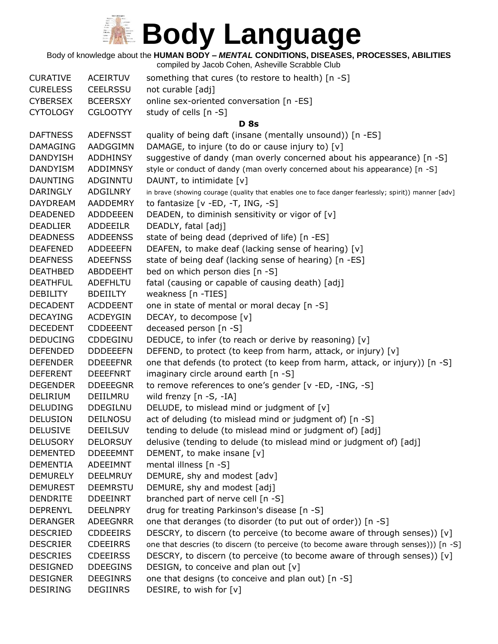Body of knowledge about the **HUMAN BODY –** *MENTAL* **CONDITIONS, DISEASES, PROCESSES, ABILITIES**

| <b>CURATIVE</b> | <b>ACEIRTUV</b> | something that cures (to restore to health) [n -S]                                                   |
|-----------------|-----------------|------------------------------------------------------------------------------------------------------|
| <b>CURELESS</b> | <b>CEELRSSU</b> | not curable [adj]                                                                                    |
| <b>CYBERSEX</b> | <b>BCEERSXY</b> | online sex-oriented conversation [n -ES]                                                             |
| <b>CYTOLOGY</b> | <b>CGLOOTYY</b> | study of cells [n -S]                                                                                |
|                 |                 | <b>D</b> 8s                                                                                          |
| <b>DAFTNESS</b> | <b>ADEFNSST</b> | quality of being daft (insane (mentally unsound)) [n -ES]                                            |
| <b>DAMAGING</b> | AADGGIMN        | DAMAGE, to injure (to do or cause injury to) [v]                                                     |
| <b>DANDYISH</b> | ADDHINSY        | suggestive of dandy (man overly concerned about his appearance) [n -S]                               |
| <b>DANDYISM</b> | ADDIMNSY        | style or conduct of dandy (man overly concerned about his appearance) [n -S]                         |
| <b>DAUNTING</b> | ADGINNTU        | DAUNT, to intimidate [v]                                                                             |
| <b>DARINGLY</b> | ADGILNRY        | in brave (showing courage (quality that enables one to face danger fearlessly; spirit)) manner [adv] |
| <b>DAYDREAM</b> | AADDEMRY        | to fantasize $[v - ED, -T, ING, -S]$                                                                 |
| <b>DEADENED</b> | <b>ADDDEEEN</b> | DEADEN, to diminish sensitivity or vigor of [v]                                                      |
| <b>DEADLIER</b> | ADDEEILR        | DEADLY, fatal [adj]                                                                                  |
| <b>DEADNESS</b> | <b>ADDEENSS</b> | state of being dead (deprived of life) [n -ES]                                                       |
| <b>DEAFENED</b> | <b>ADDEEEFN</b> | DEAFEN, to make deaf (lacking sense of hearing) [v]                                                  |
| <b>DEAFNESS</b> | <b>ADEEFNSS</b> | state of being deaf (lacking sense of hearing) [n -ES]                                               |
| <b>DEATHBED</b> | ABDDEEHT        | bed on which person dies [n -S]                                                                      |
| <b>DEATHFUL</b> | ADEFHLTU        | fatal (causing or capable of causing death) [adj]                                                    |
| <b>DEBILITY</b> | <b>BDEIILTY</b> | weakness [n -TIES]                                                                                   |
| <b>DECADENT</b> | <b>ACDDEENT</b> | one in state of mental or moral decay [n -S]                                                         |
| <b>DECAYING</b> | <b>ACDEYGIN</b> | DECAY, to decompose [v]                                                                              |
| <b>DECEDENT</b> | <b>CDDEEENT</b> | deceased person [n -S]                                                                               |
| <b>DEDUCING</b> | CDDEGINU        | DEDUCE, to infer (to reach or derive by reasoning) [v]                                               |
| <b>DEFENDED</b> | <b>DDDEEEFN</b> | DEFEND, to protect (to keep from harm, attack, or injury) [v]                                        |
| <b>DEFENDER</b> | <b>DDEEEFNR</b> | one that defends (to protect (to keep from harm, attack, or injury)) [n -S]                          |
| <b>DEFERENT</b> | <b>DEEEFNRT</b> | imaginary circle around earth [n -S]                                                                 |
| <b>DEGENDER</b> | <b>DDEEEGNR</b> | to remove references to one's gender [v -ED, -ING, -S]                                               |
| <b>DELIRIUM</b> | DEIILMRU        | wild frenzy [n -S, -IA]                                                                              |
| <b>DELUDING</b> | <b>DDEGILNU</b> | DELUDE, to mislead mind or judgment of [v]                                                           |
| <b>DELUSION</b> | <b>DEILNOSU</b> | act of deluding (to mislead mind or judgment of) [n -S]                                              |
| <b>DELUSIVE</b> | <b>DEEILSUV</b> | tending to delude (to mislead mind or judgment of) [adj]                                             |
| <b>DELUSORY</b> | <b>DELORSUY</b> | delusive (tending to delude (to mislead mind or judgment of) [adj]                                   |
| <b>DEMENTED</b> | <b>DDEEEMNT</b> | DEMENT, to make insane [v]                                                                           |
| <b>DEMENTIA</b> | ADEEIMNT        | mental illness $[n - S]$                                                                             |
| <b>DEMURELY</b> | <b>DEELMRUY</b> | DEMURE, shy and modest [adv]                                                                         |
| <b>DEMUREST</b> | <b>DEEMRSTU</b> | DEMURE, shy and modest [adj]                                                                         |
| <b>DENDRITE</b> | <b>DDEEINRT</b> | branched part of nerve cell [n -S]                                                                   |
| <b>DEPRENYL</b> | <b>DEELNPRY</b> | drug for treating Parkinson's disease [n -S]                                                         |
| <b>DERANGER</b> | ADEEGNRR        | one that deranges (to disorder (to put out of order)) [n -S]                                         |
| <b>DESCRIED</b> | <b>CDDEEIRS</b> | DESCRY, to discern (to perceive (to become aware of through senses)) $[v]$                           |
| <b>DESCRIER</b> | <b>CDEEIRRS</b> | one that descries (to discern (to perceive (to become aware through senses))) [n -S]                 |
| <b>DESCRIES</b> | <b>CDEEIRSS</b> | DESCRY, to discern (to perceive (to become aware of through senses)) [v]                             |
| <b>DESIGNED</b> | <b>DDEEGINS</b> | DESIGN, to conceive and plan out $[v]$                                                               |
| <b>DESIGNER</b> | <b>DEEGINRS</b> | one that designs (to conceive and plan out) [n -S]                                                   |
| <b>DESIRING</b> | <b>DEGIINRS</b> | DESIRE, to wish for [v]                                                                              |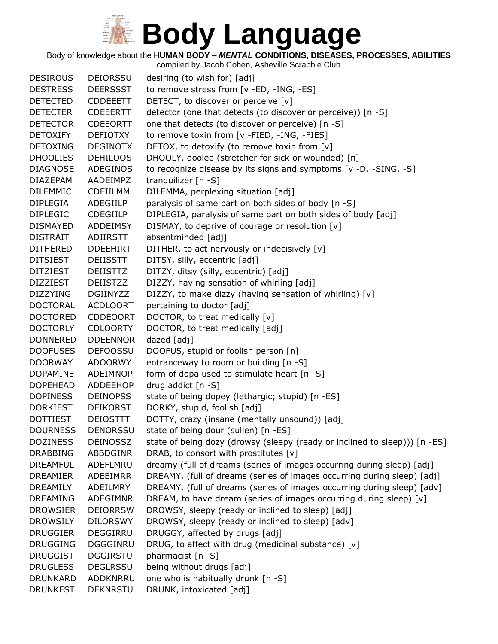Body of knowledge about the **HUMAN BODY –** *MENTAL* **CONDITIONS, DISEASES, PROCESSES, ABILITIES**

compiled by Jacob Cohen, Asheville Scrabble Club DESIROUS DEIORSSU desiring (to wish for) [adj] DESTRESS DEERSSST to remove stress from [v -ED, -ING, -ES] DETECTED CDDEEETT DETECT, to discover or perceive [v] DETECTER CDEEERTT detector (one that detects (to discover or perceive)) [n -S] DETECTOR CDEEORTT one that detects (to discover or perceive) [n -S] DETOXIFY DEFIOTXY to remove toxin from [v -FIED, -ING, -FIES] DETOXING DEGINOTX DETOX, to detoxify (to remove toxin from [v] DHOOLIES DEHILOOS DHOOLY, doolee (stretcher for sick or wounded) [n] DIAGNOSE ADEGINOS to recognize disease by its signs and symptoms [v -D, -SING, -S] DIAZEPAM AADEIMPZ tranquilizer [n -S] DILEMMIC CDEIILMM DILEMMA, perplexing situation [adj] DIPLEGIA ADEGIILP paralysis of same part on both sides of body [n -S] DIPLEGIC CDEGIILP DIPLEGIA, paralysis of same part on both sides of body [adj] DISMAYED ADDEIMSY DISMAY, to deprive of courage or resolution [v] DISTRAIT ADIIRSTT absentminded [adj] DITHERED DDEEHIRT DITHER, to act nervously or indecisively [v] DITSIEST DEIISSTT DITSY, silly, eccentric [adj] DITZIEST DEIISTTZ DITZY, ditsy (silly, eccentric) [adj] DIZZIEST DEIISTZZ DIZZY, having sensation of whirling [adj] DIZZYING DGIINYZZ DIZZY, to make dizzy (having sensation of whirling) [v] DOCTORAL ACDLOORT pertaining to doctor [adj] DOCTORED CDDEOORT DOCTOR, to treat medically [v] DOCTORLY CDLOORTY DOCTOR, to treat medically [adj] DONNERED DDEENNOR dazed [adj] DOOFUSES DEFOOSSU DOOFUS, stupid or foolish person [n] DOORWAY ADOORWY entranceway to room or building [n -S] DOPAMINE ADEIMNOP form of dopa used to stimulate heart [n -S] DOPEHEAD ADDEEHOP drug addict [n -S] DOPINESS DEINOPSS state of being dopey (lethargic; stupid) [n -ES] DORKIEST DEIKORST DORKY, stupid, foolish [adj] DOTTIEST DEIOSTTT DOTTY, crazy (insane (mentally unsound)) [adj] DOURNESS DENORSSU state of being dour (sullen) [n -ES] DOZINESS DEINOSSZ state of being dozy (drowsy (sleepy (ready or inclined to sleep))) [n -ES] DRABBING ABBDGINR DRAB, to consort with prostitutes [v] DREAMFUL ADEFLMRU dreamy (full of dreams (series of images occurring during sleep) [adj] DREAMIER ADEEIMRR DREAMY, (full of dreams (series of images occurring during sleep) [adj] DREAMILY ADEILMRY DREAMY, (full of dreams (series of images occurring during sleep) [adv] DREAMING ADEGIMNR DREAM, to have dream (series of images occurring during sleep) [v] DROWSIER DEIORRSW DROWSY, sleepy (ready or inclined to sleep) [adj] DROWSILY DILORSWY DROWSY, sleepy (ready or inclined to sleep) [adv] DRUGGIER DEGGIRRU DRUGGY, affected by drugs [adj] DRUGGING DGGGINRU DRUG, to affect with drug (medicinal substance) [v] DRUGGIST DGGIRSTU pharmacist [n -S] DRUGLESS DEGLRSSU being without drugs [adj] DRUNKARD ADDKNRRU one who is habitually drunk [n -S] DRUNKEST DEKNRSTU DRUNK, intoxicated [adj]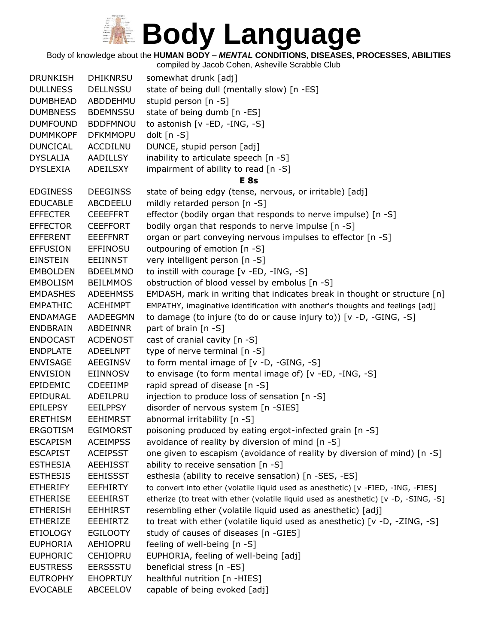Body of knowledge about the **HUMAN BODY –** *MENTAL* **CONDITIONS, DISEASES, PROCESSES, ABILITIES**

| <b>DRUNKISH</b> | <b>DHIKNRSU</b> | somewhat drunk [adj]                                                                 |
|-----------------|-----------------|--------------------------------------------------------------------------------------|
| <b>DULLNESS</b> | <b>DELLNSSU</b> | state of being dull (mentally slow) [n -ES]                                          |
| <b>DUMBHEAD</b> | ABDDEHMU        | stupid person [n -S]                                                                 |
| <b>DUMBNESS</b> | <b>BDEMNSSU</b> | state of being dumb [n -ES]                                                          |
| <b>DUMFOUND</b> | <b>BDDFMNOU</b> | to astonish [v -ED, -ING, -S]                                                        |
| <b>DUMMKOPF</b> | <b>DFKMMOPU</b> | dolt $[n - S]$                                                                       |
| <b>DUNCICAL</b> | <b>ACCDILNU</b> | DUNCE, stupid person [adj]                                                           |
| <b>DYSLALIA</b> | AADILLSY        | inability to articulate speech [n -S]                                                |
| <b>DYSLEXIA</b> | ADEILSXY        | impairment of ability to read [n -S]                                                 |
|                 |                 | <b>E</b> 8s                                                                          |
| <b>EDGINESS</b> | <b>DEEGINSS</b> | state of being edgy (tense, nervous, or irritable) [adj]                             |
| <b>EDUCABLE</b> | ABCDEELU        | mildly retarded person [n -S]                                                        |
| <b>EFFECTER</b> | <b>CEEEFFRT</b> | effector (bodily organ that responds to nerve impulse) [n -S]                        |
| <b>EFFECTOR</b> | <b>CEEFFORT</b> | bodily organ that responds to nerve impulse [n -S]                                   |
| <b>EFFERENT</b> | <b>EEEFFNRT</b> | organ or part conveying nervous impulses to effector [n -S]                          |
| <b>EFFUSION</b> | <b>EFFINOSU</b> | outpouring of emotion [n -S]                                                         |
| <b>EINSTEIN</b> | <b>EEIINNST</b> | very intelligent person [n -S]                                                       |
| <b>EMBOLDEN</b> | <b>BDEELMNO</b> | to instill with courage [v -ED, -ING, -S]                                            |
| <b>EMBOLISM</b> | <b>BEILMMOS</b> | obstruction of blood vessel by embolus [n -S]                                        |
| <b>EMDASHES</b> | <b>ADEEHMSS</b> | EMDASH, mark in writing that indicates break in thought or structure [n]             |
| <b>EMPATHIC</b> | <b>ACEHIMPT</b> | EMPATHY, imaginative identification with another's thoughts and feelings [adj]       |
| <b>ENDAMAGE</b> | AADEEGMN        | to damage (to injure (to do or cause injury to)) [v -D, -GING, -S]                   |
| <b>ENDBRAIN</b> | <b>ABDEINNR</b> | part of brain [n -S]                                                                 |
| <b>ENDOCAST</b> | <b>ACDENOST</b> | cast of cranial cavity [n -S]                                                        |
| <b>ENDPLATE</b> | ADEELNPT        | type of nerve terminal [n -S]                                                        |
| <b>ENVISAGE</b> | AEEGINSV        | to form mental image of [v -D, -GING, -S]                                            |
| <b>ENVISION</b> | <b>EIINNOSV</b> | to envisage (to form mental image of) [v -ED, -ING, -S]                              |
| EPIDEMIC        | <b>CDEEIIMP</b> | rapid spread of disease [n -S]                                                       |
| EPIDURAL        | ADEILPRU        | injection to produce loss of sensation [n -S]                                        |
| <b>EPILEPSY</b> | <b>EEILPPSY</b> | disorder of nervous system [n -SIES]                                                 |
| <b>ERETHISM</b> | <b>EEHIMRST</b> | abnormal irritability [n -S]                                                         |
| <b>ERGOTISM</b> | <b>EGIMORST</b> | poisoning produced by eating ergot-infected grain [n -S]                             |
| <b>ESCAPISM</b> | <b>ACEIMPSS</b> | avoidance of reality by diversion of mind [n -S]                                     |
| <b>ESCAPIST</b> | <b>ACEIPSST</b> | one given to escapism (avoidance of reality by diversion of mind) [n -S]             |
| <b>ESTHESIA</b> | <b>AEEHISST</b> | ability to receive sensation [n -S]                                                  |
| <b>ESTHESIS</b> | <b>EEHISSST</b> | esthesia (ability to receive sensation) [n -SES, -ES]                                |
| <b>ETHERIFY</b> | <b>EEFHIRTY</b> | to convert into ether (volatile liquid used as anesthetic) [v -FIED, -ING, -FIES]    |
| <b>ETHERISE</b> | <b>EEEHIRST</b> | etherize (to treat with ether (volatile liquid used as anesthetic) [v -D, -SING, -S] |
| <b>ETHERISH</b> | <b>EEHHIRST</b> | resembling ether (volatile liquid used as anesthetic) [adj]                          |
| <b>ETHERIZE</b> | EEEHIRTZ        | to treat with ether (volatile liquid used as anesthetic) [v -D, -ZING, -S]           |
| <b>ETIOLOGY</b> | <b>EGILOOTY</b> | study of causes of diseases [n -GIES]                                                |
| <b>EUPHORIA</b> | AEHIOPRU        | feeling of well-being [n -S]                                                         |
| <b>EUPHORIC</b> | <b>CEHIOPRU</b> | EUPHORIA, feeling of well-being [adj]                                                |
| <b>EUSTRESS</b> | <b>EERSSSTU</b> | beneficial stress [n -ES]                                                            |
| <b>EUTROPHY</b> | <b>EHOPRTUY</b> | healthful nutrition [n -HIES]                                                        |
| <b>EVOCABLE</b> | ABCEELOV        | capable of being evoked [adj]                                                        |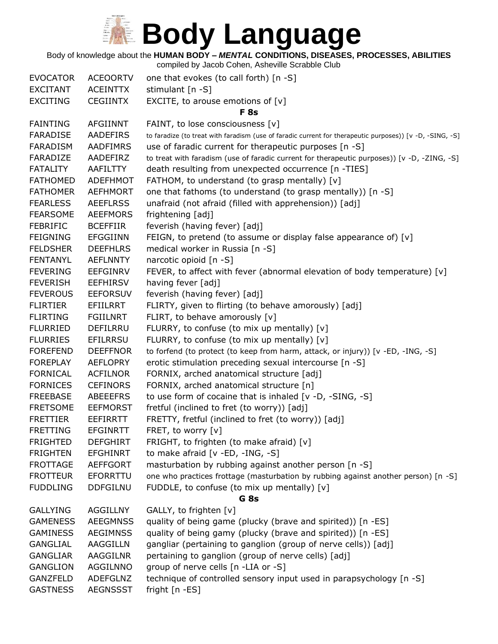Body of knowledge about the **HUMAN BODY –** *MENTAL* **CONDITIONS, DISEASES, PROCESSES, ABILITIES**

| <b>EVOCATOR</b> | <b>ACEOORTV</b> | one that evokes (to call forth) [n -S]                                                                   |
|-----------------|-----------------|----------------------------------------------------------------------------------------------------------|
| <b>EXCITANT</b> | <b>ACEINTTX</b> | stimulant [n -S]                                                                                         |
| <b>EXCITING</b> | <b>CEGIINTX</b> | EXCITE, to arouse emotions of $[v]$                                                                      |
|                 |                 | <b>F</b> 8s                                                                                              |
| <b>FAINTING</b> | <b>AFGIINNT</b> | FAINT, to lose consciousness [v]                                                                         |
| <b>FARADISE</b> | <b>AADEFIRS</b> | to faradize (to treat with faradism (use of faradic current for therapeutic purposes)) [v -D, -SING, -S] |
| <b>FARADISM</b> | <b>AADFIMRS</b> | use of faradic current for therapeutic purposes [n -S]                                                   |
| FARADIZE        | AADEFIRZ        | to treat with faradism (use of faradic current for therapeutic purposes)) [v -D, -ZING, -S]              |
| <b>FATALITY</b> | AAFILTTY        | death resulting from unexpected occurrence [n -TIES]                                                     |
| <b>FATHOMED</b> | ADEFHMOT        | FATHOM, to understand (to grasp mentally) [v]                                                            |
| <b>FATHOMER</b> | <b>AEFHMORT</b> | one that fathoms (to understand (to grasp mentally)) [n -S]                                              |
| <b>FEARLESS</b> | <b>AEEFLRSS</b> | unafraid (not afraid (filled with apprehension)) [adj]                                                   |
| <b>FEARSOME</b> | <b>AEEFMORS</b> | frightening [adj]                                                                                        |
| <b>FEBRIFIC</b> | <b>BCEFFIIR</b> | feverish (having fever) [adj]                                                                            |
| <b>FEIGNING</b> | <b>EFGGIINN</b> | FEIGN, to pretend (to assume or display false appearance of) [v]                                         |
| <b>FELDSHER</b> | <b>DEEFHLRS</b> | medical worker in Russia [n -S]                                                                          |
| <b>FENTANYL</b> | <b>AEFLNNTY</b> | narcotic opioid [n -S]                                                                                   |
| <b>FEVERING</b> | <b>EEFGINRV</b> | FEVER, to affect with fever (abnormal elevation of body temperature) $[v]$                               |
| <b>FEVERISH</b> | <b>EEFHIRSV</b> | having fever [adj]                                                                                       |
| <b>FEVEROUS</b> | <b>EEFORSUV</b> | feverish (having fever) [adj]                                                                            |
| <b>FLIRTIER</b> | <b>EFIILRRT</b> | FLIRTY, given to flirting (to behave amorously) [adj]                                                    |
| <b>FLIRTING</b> | <b>FGIILNRT</b> | FLIRT, to behave amorously [v]                                                                           |
| <b>FLURRIED</b> | DEFILRRU        | FLURRY, to confuse (to mix up mentally) [v]                                                              |
| <b>FLURRIES</b> | <b>EFILRRSU</b> | FLURRY, to confuse (to mix up mentally) [v]                                                              |
| <b>FOREFEND</b> | <b>DEEFFNOR</b> | to forfend (to protect (to keep from harm, attack, or injury)) [v -ED, -ING, -S]                         |
| <b>FOREPLAY</b> | <b>AEFLOPRY</b> | erotic stimulation preceding sexual intercourse [n -S]                                                   |
| <b>FORNICAL</b> | <b>ACFILNOR</b> | FORNIX, arched anatomical structure [adj]                                                                |
| <b>FORNICES</b> | <b>CEFINORS</b> | FORNIX, arched anatomical structure [n]                                                                  |
| <b>FREEBASE</b> | <b>ABEEEFRS</b> | to use form of cocaine that is inhaled [v -D, -SING, -S]                                                 |
| <b>FRETSOME</b> | <b>EEFMORST</b> | fretful (inclined to fret (to worry)) [adj]                                                              |
| <b>FRETTIER</b> | <b>EEFIRRTT</b> | FRETTY, fretful (inclined to fret (to worry)) [adj]                                                      |
| <b>FRETTING</b> | <b>EFGINRTT</b> | FRET, to worry [v]                                                                                       |
| <b>FRIGHTED</b> | <b>DEFGHIRT</b> | FRIGHT, to frighten (to make afraid) [v]                                                                 |
| <b>FRIGHTEN</b> | <b>EFGHINRT</b> | to make afraid [v -ED, -ING, -S]                                                                         |
| <b>FROTTAGE</b> | <b>AEFFGORT</b> | masturbation by rubbing against another person [n -S]                                                    |
| <b>FROTTEUR</b> | EFORRTTU        | one who practices frottage (masturbation by rubbing against another person) [n -S]                       |
| <b>FUDDLING</b> | <b>DDFGILNU</b> | FUDDLE, to confuse (to mix up mentally) [v]                                                              |
|                 |                 | G <sub>8s</sub>                                                                                          |
| <b>GALLYING</b> | <b>AGGILLNY</b> | GALLY, to frighten [v]                                                                                   |
| <b>GAMENESS</b> | <b>AEEGMNSS</b> | quality of being game (plucky (brave and spirited)) [n -ES]                                              |
| <b>GAMINESS</b> | <b>AEGIMNSS</b> | quality of being gamy (plucky (brave and spirited)) [n -ES]                                              |
| <b>GANGLIAL</b> | AAGGILLN        | gangliar (pertaining to ganglion (group of nerve cells)) [adj]                                           |
| <b>GANGLIAR</b> | AAGGILNR        | pertaining to ganglion (group of nerve cells) [adj]                                                      |
| <b>GANGLION</b> | AGGILNNO        | group of nerve cells [n -LIA or -S]                                                                      |
| <b>GANZFELD</b> | ADEFGLNZ        | technique of controlled sensory input used in parapsychology [n -S]                                      |
| <b>GASTNESS</b> | <b>AEGNSSST</b> | fright [n -ES]                                                                                           |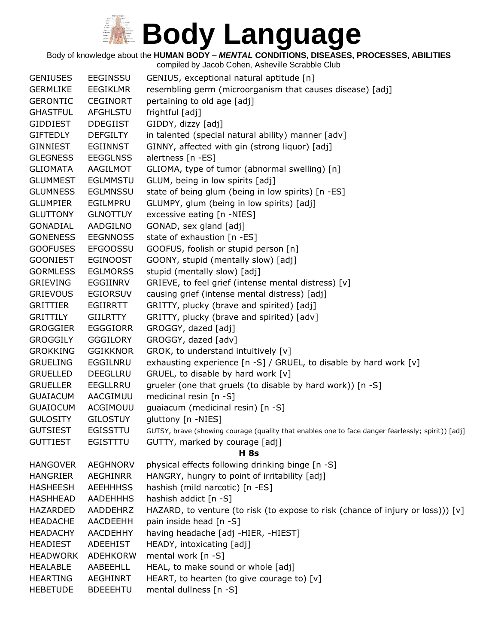Body of knowledge about the **HUMAN BODY –** *MENTAL* **CONDITIONS, DISEASES, PROCESSES, ABILITIES**

| <b>GENIUSES</b><br><b>EEGINSSU</b><br>GENIUS, exceptional natural aptitude [n]<br>resembling germ (microorganism that causes disease) [adj]<br><b>GERMLIKE</b><br><b>EEGIKLMR</b><br><b>GERONTIC</b><br><b>CEGINORT</b><br>pertaining to old age [adj]<br><b>GHASTFUL</b><br><b>AFGHLSTU</b><br>frightful [adj]<br>GIDDY, dizzy [adj]<br><b>GIDDIEST</b><br><b>DDEGIIST</b><br><b>GIFTEDLY</b><br><b>DEFGILTY</b><br>in talented (special natural ability) manner [adv]<br>GINNY, affected with gin (strong liquor) [adj]<br>GINNIEST<br><b>EGIINNST</b><br>alertness [n -ES]<br><b>GLEGNESS</b><br><b>EEGGLNSS</b> |
|---------------------------------------------------------------------------------------------------------------------------------------------------------------------------------------------------------------------------------------------------------------------------------------------------------------------------------------------------------------------------------------------------------------------------------------------------------------------------------------------------------------------------------------------------------------------------------------------------------------------|
|                                                                                                                                                                                                                                                                                                                                                                                                                                                                                                                                                                                                                     |
|                                                                                                                                                                                                                                                                                                                                                                                                                                                                                                                                                                                                                     |
|                                                                                                                                                                                                                                                                                                                                                                                                                                                                                                                                                                                                                     |
|                                                                                                                                                                                                                                                                                                                                                                                                                                                                                                                                                                                                                     |
|                                                                                                                                                                                                                                                                                                                                                                                                                                                                                                                                                                                                                     |
|                                                                                                                                                                                                                                                                                                                                                                                                                                                                                                                                                                                                                     |
|                                                                                                                                                                                                                                                                                                                                                                                                                                                                                                                                                                                                                     |
| AAGILMOT<br><b>GLIOMATA</b>                                                                                                                                                                                                                                                                                                                                                                                                                                                                                                                                                                                         |
| GLIOMA, type of tumor (abnormal swelling) [n]                                                                                                                                                                                                                                                                                                                                                                                                                                                                                                                                                                       |
| GLUM, being in low spirits [adj]<br><b>GLUMMEST</b><br><b>EGLMMSTU</b>                                                                                                                                                                                                                                                                                                                                                                                                                                                                                                                                              |
| state of being glum (being in low spirits) [n -ES]<br><b>GLUMNESS</b><br><b>EGLMNSSU</b>                                                                                                                                                                                                                                                                                                                                                                                                                                                                                                                            |
| GLUMPY, glum (being in low spirits) [adj]<br><b>GLUMPIER</b><br>EGILMPRU                                                                                                                                                                                                                                                                                                                                                                                                                                                                                                                                            |
| excessive eating [n -NIES]<br><b>GLUTTONY</b><br><b>GLNOTTUY</b>                                                                                                                                                                                                                                                                                                                                                                                                                                                                                                                                                    |
| GONADIAL<br>AADGILNO<br>GONAD, sex gland [adj]                                                                                                                                                                                                                                                                                                                                                                                                                                                                                                                                                                      |
| <b>GONENESS</b><br><b>EEGNNOSS</b><br>state of exhaustion [n -ES]                                                                                                                                                                                                                                                                                                                                                                                                                                                                                                                                                   |
| GOOFUS, foolish or stupid person [n]<br><b>GOOFUSES</b><br><b>EFGOOSSU</b>                                                                                                                                                                                                                                                                                                                                                                                                                                                                                                                                          |
| <b>GOONIEST</b><br><b>EGINOOST</b><br>GOONY, stupid (mentally slow) [adj]                                                                                                                                                                                                                                                                                                                                                                                                                                                                                                                                           |
| <b>EGLMORSS</b><br>stupid (mentally slow) [adj]<br><b>GORMLESS</b>                                                                                                                                                                                                                                                                                                                                                                                                                                                                                                                                                  |
| GRIEVE, to feel grief (intense mental distress) [v]<br><b>GRIEVING</b><br>EGGIINRV                                                                                                                                                                                                                                                                                                                                                                                                                                                                                                                                  |
| <b>GRIEVOUS</b><br><b>EGIORSUV</b><br>causing grief (intense mental distress) [adj]                                                                                                                                                                                                                                                                                                                                                                                                                                                                                                                                 |
| <b>GRITTIER</b><br><b>EGIIRRTT</b><br>GRITTY, plucky (brave and spirited) [adj]                                                                                                                                                                                                                                                                                                                                                                                                                                                                                                                                     |
| GRITTY, plucky (brave and spirited) [adv]<br><b>GRITTILY</b><br><b>GIILRTTY</b>                                                                                                                                                                                                                                                                                                                                                                                                                                                                                                                                     |
| GROGGY, dazed [adj]<br><b>GROGGIER</b><br><b>EGGGIORR</b>                                                                                                                                                                                                                                                                                                                                                                                                                                                                                                                                                           |
| <b>GROGGILY</b><br>GROGGY, dazed [adv]<br><b>GGGILORY</b>                                                                                                                                                                                                                                                                                                                                                                                                                                                                                                                                                           |
| GROK, to understand intuitively [v]<br><b>GROKKING</b><br><b>GGIKKNOR</b>                                                                                                                                                                                                                                                                                                                                                                                                                                                                                                                                           |
| exhausting experience $[n -S]$ / GRUEL, to disable by hard work $[v]$<br><b>GRUELING</b><br>EGGILNRU                                                                                                                                                                                                                                                                                                                                                                                                                                                                                                                |
| GRUEL, to disable by hard work [v]<br><b>GRUELLED</b><br>DEEGLLRU                                                                                                                                                                                                                                                                                                                                                                                                                                                                                                                                                   |
| grueler (one that gruels (to disable by hard work)) [n -S]<br><b>GRUELLER</b><br><b>EEGLLRRU</b>                                                                                                                                                                                                                                                                                                                                                                                                                                                                                                                    |
| AACGIMUU<br>medicinal resin [n -S]<br><b>GUAIACUM</b>                                                                                                                                                                                                                                                                                                                                                                                                                                                                                                                                                               |
| guaiacum (medicinal resin) [n -S]<br><b>GUAIOCUM</b><br>ACGIMOUU                                                                                                                                                                                                                                                                                                                                                                                                                                                                                                                                                    |
| gluttony [n -NIES]<br><b>GULOSITY</b><br><b>GILOSTUY</b>                                                                                                                                                                                                                                                                                                                                                                                                                                                                                                                                                            |
| <b>GUTSIEST</b><br>EGISSTTU<br>GUTSY, brave (showing courage (quality that enables one to face danger fearlessly; spirit)) [adj]                                                                                                                                                                                                                                                                                                                                                                                                                                                                                    |
| GUTTY, marked by courage [adj]<br><b>GUTTIEST</b><br>EGISTITU                                                                                                                                                                                                                                                                                                                                                                                                                                                                                                                                                       |
| <b>H</b> 8s                                                                                                                                                                                                                                                                                                                                                                                                                                                                                                                                                                                                         |
| physical effects following drinking binge [n -S]<br><b>HANGOVER</b><br>AEGHNORV                                                                                                                                                                                                                                                                                                                                                                                                                                                                                                                                     |
| HANGRY, hungry to point of irritability [adj]<br><b>HANGRIER</b><br>AEGHINRR                                                                                                                                                                                                                                                                                                                                                                                                                                                                                                                                        |
| hashish (mild narcotic) [n -ES]<br><b>HASHEESH</b><br><b>AEEHHHSS</b>                                                                                                                                                                                                                                                                                                                                                                                                                                                                                                                                               |
| hashish addict [n -S]<br><b>HASHHEAD</b><br><b>AADEHHHS</b>                                                                                                                                                                                                                                                                                                                                                                                                                                                                                                                                                         |
| HAZARD, to venture (to risk (to expose to risk (chance of injury or loss))) [v]<br>HAZARDED<br>AADDEHRZ                                                                                                                                                                                                                                                                                                                                                                                                                                                                                                             |
| pain inside head [n -S]<br><b>HEADACHE</b><br>AACDEEHH                                                                                                                                                                                                                                                                                                                                                                                                                                                                                                                                                              |
| having headache [adj -HIER, -HIEST]<br><b>HEADACHY</b><br><b>AACDEHHY</b>                                                                                                                                                                                                                                                                                                                                                                                                                                                                                                                                           |
| <b>HEADIEST</b><br><b>ADEEHIST</b><br>HEADY, intoxicating [adj]                                                                                                                                                                                                                                                                                                                                                                                                                                                                                                                                                     |
| mental work [n -S]<br><b>HEADWORK</b><br>ADEHKORW                                                                                                                                                                                                                                                                                                                                                                                                                                                                                                                                                                   |
| HEAL, to make sound or whole [adj]<br><b>HEALABLE</b><br>AABEEHLL                                                                                                                                                                                                                                                                                                                                                                                                                                                                                                                                                   |
| HEART, to hearten (to give courage to) [v]<br><b>HEARTING</b><br><b>AEGHINRT</b>                                                                                                                                                                                                                                                                                                                                                                                                                                                                                                                                    |
| mental dullness [n -S]<br><b>HEBETUDE</b><br><b>BDEEEHTU</b>                                                                                                                                                                                                                                                                                                                                                                                                                                                                                                                                                        |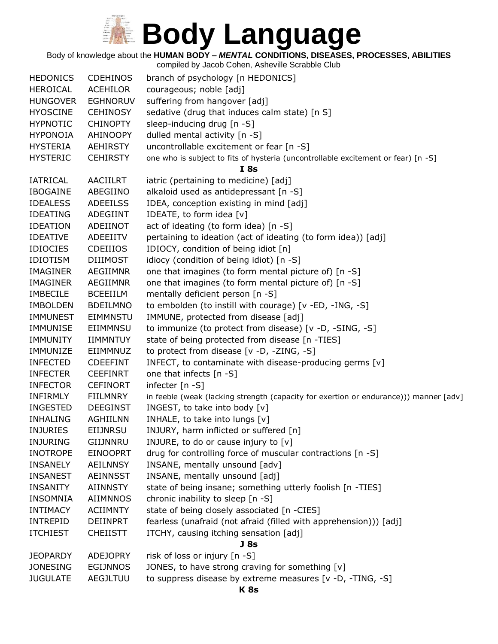Body of knowledge about the **HUMAN BODY –** *MENTAL* **CONDITIONS, DISEASES, PROCESSES, ABILITIES**

| <b>HEDONICS</b> | <b>CDEHINOS</b> | branch of psychology [n HEDONICS]                                                     |
|-----------------|-----------------|---------------------------------------------------------------------------------------|
| <b>HEROICAL</b> | <b>ACEHILOR</b> | courageous; noble [adj]                                                               |
| <b>HUNGOVER</b> | <b>EGHNORUV</b> | suffering from hangover [adj]                                                         |
| <b>HYOSCINE</b> | <b>CEHINOSY</b> | sedative (drug that induces calm state) [n S]                                         |
| <b>HYPNOTIC</b> | <b>CHINOPTY</b> | sleep-inducing drug [n -S]                                                            |
| <b>HYPONOIA</b> | AHINOOPY        | dulled mental activity [n -S]                                                         |
| <b>HYSTERIA</b> | <b>AEHIRSTY</b> | uncontrollable excitement or fear [n -S]                                              |
| <b>HYSTERIC</b> | <b>CEHIRSTY</b> | one who is subject to fits of hysteria (uncontrollable excitement or fear) [n -S]     |
|                 |                 | I8s                                                                                   |
| <b>IATRICAL</b> | <b>AACIILRT</b> | iatric (pertaining to medicine) [adj]                                                 |
| <b>IBOGAINE</b> | ABEGIINO        | alkaloid used as antidepressant [n -S]                                                |
| <b>IDEALESS</b> | <b>ADEEILSS</b> | IDEA, conception existing in mind [adj]                                               |
| <b>IDEATING</b> | ADEGIINT        | IDEATE, to form idea [v]                                                              |
| <b>IDEATION</b> | ADEIINOT        | act of ideating (to form idea) [n -S]                                                 |
| <b>IDEATIVE</b> | ADEEIITV        | pertaining to ideation (act of ideating (to form idea)) [adj]                         |
| <b>IDIOCIES</b> | CDEIIIOS        | IDIOCY, condition of being idiot [n]                                                  |
| <b>IDIOTISM</b> | <b>DIIIMOST</b> | idiocy (condition of being idiot) [n -S]                                              |
| <b>IMAGINER</b> | <b>AEGIIMNR</b> | one that imagines (to form mental picture of) [n -S]                                  |
| <b>IMAGINER</b> | AEGIIMNR        | one that imagines (to form mental picture of) [n -S]                                  |
| <b>IMBECILE</b> | <b>BCEEIILM</b> | mentally deficient person [n -S]                                                      |
| <b>IMBOLDEN</b> | <b>BDEILMNO</b> | to embolden (to instill with courage) [v -ED, -ING, -S]                               |
| <b>IMMUNEST</b> | <b>EIMMNSTU</b> | IMMUNE, protected from disease [adj]                                                  |
| IMMUNISE        | EIIMMNSU        | to immunize (to protect from disease) [v -D, -SING, -S]                               |
| <b>IMMUNITY</b> | <b>IIMMNTUY</b> | state of being protected from disease [n -TIES]                                       |
| IMMUNIZE        | EIIMMNUZ        | to protect from disease [v -D, -ZING, -S]                                             |
| <b>INFECTED</b> | <b>CDEEFINT</b> | INFECT, to contaminate with disease-producing germs [v]                               |
| <b>INFECTER</b> | <b>CEEFINRT</b> | one that infects [n -S]                                                               |
| <b>INFECTOR</b> | <b>CEFINORT</b> | infecter $[n - S]$                                                                    |
| INFIRMLY        | <b>FIILMNRY</b> | in feeble (weak (lacking strength (capacity for exertion or endurance))) manner [adv] |
| <b>INGESTED</b> | <b>DEEGINST</b> | INGEST, to take into body [v]                                                         |
| <b>INHALING</b> | <b>AGHIILNN</b> | INHALE, to take into lungs [v]                                                        |
| <b>INJURIES</b> | <b>EIIJNRSU</b> | INJURY, harm inflicted or suffered [n]                                                |
| <b>INJURING</b> | GIIJNNRU        | INJURE, to do or cause injury to $[v]$                                                |
| <b>INOTROPE</b> | <b>EINOOPRT</b> | drug for controlling force of muscular contractions [n -S]                            |
| <b>INSANELY</b> | <b>AEILNNSY</b> | INSANE, mentally unsound [adv]                                                        |
| <b>INSANEST</b> | <b>AEINNSST</b> | INSANE, mentally unsound [adj]                                                        |
| <b>INSANITY</b> | <b>AIINNSTY</b> | state of being insane; something utterly foolish [n -TIES]                            |
| <b>INSOMNIA</b> | <b>AIIMNNOS</b> | chronic inability to sleep [n -S]                                                     |
| <b>INTIMACY</b> | <b>ACIIMNTY</b> | state of being closely associated [n -CIES]                                           |
| <b>INTREPID</b> | DEIINPRT        | fearless (unafraid (not afraid (filled with apprehension))) [adj]                     |
| <b>ITCHIEST</b> | <b>CHEIISTT</b> | ITCHY, causing itching sensation [adj]                                                |
|                 |                 | J <sub>8s</sub>                                                                       |
| <b>JEOPARDY</b> | <b>ADEJOPRY</b> | risk of loss or injury [n -S]                                                         |
| <b>JONESING</b> | <b>EGIJNNOS</b> | JONES, to have strong craving for something [v]                                       |
| <b>JUGULATE</b> | <b>AEGJLTUU</b> | to suppress disease by extreme measures [v -D, -TING, -S]                             |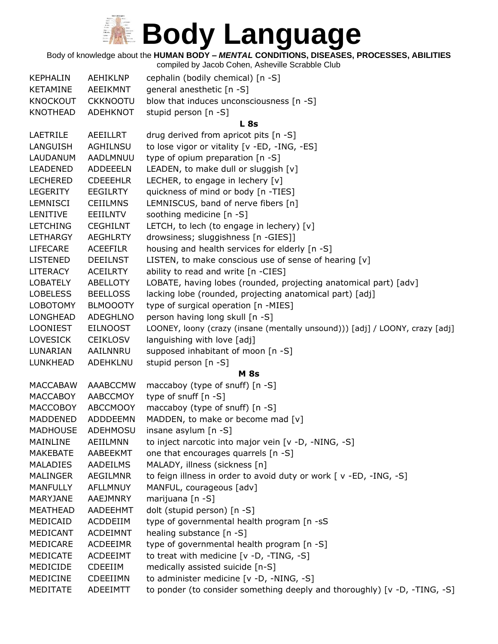Body of knowledge about the **HUMAN BODY –** *MENTAL* **CONDITIONS, DISEASES, PROCESSES, ABILITIES**

| <b>KEPHALIN</b> | AEHIKLNP        | cephalin (bodily chemical) [n -S]                                            |
|-----------------|-----------------|------------------------------------------------------------------------------|
| <b>KETAMINE</b> | AEEIKMNT        | general anesthetic [n -S]                                                    |
| <b>KNOCKOUT</b> | <b>CKKNOOTU</b> | blow that induces unconsciousness [n -S]                                     |
| <b>KNOTHEAD</b> | ADEHKNOT        | stupid person [n -S]                                                         |
|                 |                 | <b>L</b> 8s                                                                  |
| LAETRILE        | <b>AEEILLRT</b> | drug derived from apricot pits [n -S]                                        |
| LANGUISH        | AGHILNSU        | to lose vigor or vitality [v -ED, -ING, -ES]                                 |
| LAUDANUM        | AADLMNUU        | type of opium preparation [n -S]                                             |
| LEADENED        | <b>ADDEEELN</b> | LEADEN, to make dull or sluggish [v]                                         |
| <b>LECHERED</b> | <b>CDEEEHLR</b> | LECHER, to engage in lechery [v]                                             |
| <b>LEGERITY</b> | <b>EEGILRTY</b> | quickness of mind or body [n -TIES]                                          |
| LEMNISCI        | <b>CEIILMNS</b> | LEMNISCUS, band of nerve fibers [n]                                          |
| LENITIVE        | EEIILNTV        | soothing medicine [n -S]                                                     |
| <b>LETCHING</b> | <b>CEGHILNT</b> | LETCH, to lech (to engage in lechery) [v]                                    |
| <b>LETHARGY</b> | <b>AEGHLRTY</b> | drowsiness; sluggishness [n -GIES]]                                          |
| <b>LIFECARE</b> | <b>ACEEFILR</b> | housing and health services for elderly [n -S]                               |
| <b>LISTENED</b> | <b>DEEILNST</b> | LISTEN, to make conscious use of sense of hearing [v]                        |
| <b>LITERACY</b> | <b>ACEILRTY</b> | ability to read and write [n -CIES]                                          |
| <b>LOBATELY</b> | ABELLOTY        | LOBATE, having lobes (rounded, projecting anatomical part) [adv]             |
| <b>LOBELESS</b> | <b>BEELLOSS</b> | lacking lobe (rounded, projecting anatomical part) [adj]                     |
| <b>LOBOTOMY</b> | <b>BLMOOOTY</b> | type of surgical operation [n -MIES]                                         |
| <b>LONGHEAD</b> | <b>ADEGHLNO</b> | person having long skull [n -S]                                              |
| <b>LOONIEST</b> | <b>EILNOOST</b> | LOONEY, loony (crazy (insane (mentally unsound))) [adj] / LOONY, crazy [adj] |
| <b>LOVESICK</b> | <b>CEIKLOSV</b> | languishing with love [adj]                                                  |
| LUNARIAN        | AAILNNRU        | supposed inhabitant of moon [n -S]                                           |
| LUNKHEAD        | ADEHKLNU        | stupid person [n -S]                                                         |
|                 |                 | <b>M</b> 8s                                                                  |
| <b>MACCABAW</b> | AAABCCMW        | maccaboy (type of snuff) [n -S]                                              |
| <b>MACCABOY</b> | AABCCMOY        | type of snuff [n -S]                                                         |
| <b>MACCOBOY</b> | <b>ABCCMOOY</b> | maccaboy (type of snuff) [n -S]                                              |
| <b>MADDENED</b> | ADDDEEMN        | MADDEN, to make or become mad [v]                                            |
| <b>MADHOUSE</b> | <b>ADEHMOSU</b> | insane asylum $[n -S]$                                                       |
| MAINLINE        | <b>AEIILMNN</b> | to inject narcotic into major vein [v -D, -NING, -S]                         |
| MAKEBATE        | AABEEKMT        | one that encourages quarrels [n -S]                                          |
| <b>MALADIES</b> | AADEILMS        | MALADY, illness (sickness [n]                                                |
| <b>MALINGER</b> | AEGILMNR        | to feign illness in order to avoid duty or work [ v -ED, -ING, -S]           |
| <b>MANFULLY</b> | <b>AFLLMNUY</b> | MANFUL, courageous [adv]                                                     |
| MARYJANE        | AAEJMNRY        | marijuana [n -S]                                                             |
| <b>MEATHEAD</b> | AADEEHMT        | dolt (stupid person) [n -S]                                                  |
| MEDICAID        | ACDDEIIM        | type of governmental health program [n -sS                                   |
| MEDICANT        | <b>ACDEIMNT</b> | healing substance [n -S]                                                     |
| MEDICARE        | <b>ACDEEIMR</b> | type of governmental health program [n -S]                                   |
| MEDICATE        | <b>ACDEEIMT</b> | to treat with medicine [v -D, -TING, -S]                                     |
| MEDICIDE        | <b>CDEEIIM</b>  | medically assisted suicide [n-S]                                             |
| <b>MEDICINE</b> | CDEEIIMN        | to administer medicine [v -D, -NING, -S]                                     |
| MEDITATE        | ADEEIMTT        | to ponder (to consider something deeply and thoroughly) [v -D, -TING, -S]    |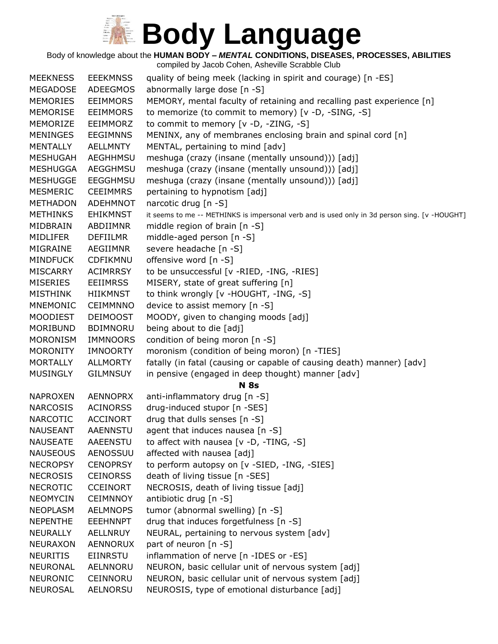Body of knowledge about the **HUMAN BODY –** *MENTAL* **CONDITIONS, DISEASES, PROCESSES, ABILITIES**

| <b>MEEKNESS</b> | <b>EEEKMNSS</b> | quality of being meek (lacking in spirit and courage) [n -ES]                                 |
|-----------------|-----------------|-----------------------------------------------------------------------------------------------|
| <b>MEGADOSE</b> | <b>ADEEGMOS</b> | abnormally large dose [n -S]                                                                  |
| MEMORIES        | <b>EEIMMORS</b> | MEMORY, mental faculty of retaining and recalling past experience [n]                         |
| <b>MEMORISE</b> | <b>EEIMMORS</b> | to memorize (to commit to memory) [v -D, -SING, -S]                                           |
| MEMORIZE        | EEIMMORZ        | to commit to memory [v -D, -ZING, -S]                                                         |
| <b>MENINGES</b> | <b>EEGIMNNS</b> | MENINX, any of membranes enclosing brain and spinal cord [n]                                  |
| <b>MENTALLY</b> | <b>AELLMNTY</b> | MENTAL, pertaining to mind [adv]                                                              |
| <b>MESHUGAH</b> | <b>AEGHHMSU</b> | meshuga (crazy (insane (mentally unsound))) [adj]                                             |
| <b>MESHUGGA</b> | AEGGHMSU        | meshuga (crazy (insane (mentally unsound))) [adj]                                             |
| <b>MESHUGGE</b> | <b>EEGGHMSU</b> | meshuga (crazy (insane (mentally unsound))) [adj]                                             |
| <b>MESMERIC</b> | <b>CEEIMMRS</b> | pertaining to hypnotism [adj]                                                                 |
| <b>METHADON</b> | ADEHMNOT        | narcotic drug [n -S]                                                                          |
| <b>METHINKS</b> | <b>EHIKMNST</b> | it seems to me -- METHINKS is impersonal verb and is used only in 3d person sing. [v -HOUGHT] |
| MIDBRAIN        | ABDIIMNR        | middle region of brain [n -S]                                                                 |
| MIDLIFER        | <b>DEFIILMR</b> | middle-aged person [n -S]                                                                     |
| MIGRAINE        | <b>AEGIIMNR</b> | severe headache [n -S]                                                                        |
| <b>MINDFUCK</b> | CDFIKMNU        | offensive word [n -S]                                                                         |
| <b>MISCARRY</b> | <b>ACIMRRSY</b> | to be unsuccessful [v -RIED, -ING, -RIES]                                                     |
| <b>MISERIES</b> | <b>EEIIMRSS</b> | MISERY, state of great suffering [n]                                                          |
| <b>MISTHINK</b> | <b>HIIKMNST</b> | to think wrongly [v -HOUGHT, -ING, -S]                                                        |
| <b>MNEMONIC</b> | <b>CEIMMNNO</b> | device to assist memory [n -S]                                                                |
| <b>MOODIEST</b> | <b>DEIMOOST</b> | MOODY, given to changing moods [adj]                                                          |
| MORIBUND        | <b>BDIMNORU</b> | being about to die [adj]                                                                      |
| <b>MORONISM</b> | <b>IMMNOORS</b> | condition of being moron [n -S]                                                               |
| <b>MORONITY</b> | <b>IMNOORTY</b> | moronism (condition of being moron) [n -TIES]                                                 |
| <b>MORTALLY</b> | <b>ALLMORTY</b> | fatally (in fatal (causing or capable of causing death) manner) [adv]                         |
| <b>MUSINGLY</b> | <b>GILMNSUY</b> | in pensive (engaged in deep thought) manner [adv]                                             |
|                 |                 | <b>N</b> 8s                                                                                   |
| <b>NAPROXEN</b> | <b>AENNOPRX</b> | anti-inflammatory drug [n -S]                                                                 |
| <b>NARCOSIS</b> | <b>ACINORSS</b> | drug-induced stupor [n -SES]                                                                  |
| <b>NARCOTIC</b> | <b>ACCINORT</b> | drug that dulls senses [n -S]                                                                 |
| <b>NAUSEANT</b> | <b>AAENNSTU</b> | agent that induces nausea [n -S]                                                              |
| <b>NAUSEATE</b> | <b>AAEENSTU</b> | to affect with nausea $[v -D, -TING, -S]$                                                     |
| <b>NAUSEOUS</b> | AENOSSUU        | affected with nausea [adj]                                                                    |
| <b>NECROPSY</b> | <b>CENOPRSY</b> | to perform autopsy on [v -SIED, -ING, -SIES]                                                  |
| <b>NECROSIS</b> | <b>CEINORSS</b> | death of living tissue [n -SES]                                                               |
| <b>NECROTIC</b> | <b>CCEINORT</b> | NECROSIS, death of living tissue [adj]                                                        |
| <b>NEOMYCIN</b> | <b>CEIMNNOY</b> | antibiotic drug [n -S]                                                                        |
| <b>NEOPLASM</b> | <b>AELMNOPS</b> | tumor (abnormal swelling) [n -S]                                                              |
| <b>NEPENTHE</b> | <b>EEEHNNPT</b> | drug that induces forgetfulness [n -S]                                                        |
| <b>NEURALLY</b> | AELLNRUY        | NEURAL, pertaining to nervous system [adv]                                                    |
| <b>NEURAXON</b> | AENNORUX        | part of neuron $[n - S]$                                                                      |
| <b>NEURITIS</b> | <b>EIINRSTU</b> | inflammation of nerve [n -IDES or -ES]                                                        |
| <b>NEURONAL</b> | AELNNORU        | NEURON, basic cellular unit of nervous system [adj]                                           |
| <b>NEURONIC</b> | CEINNORU        | NEURON, basic cellular unit of nervous system [adj]                                           |
| <b>NEUROSAL</b> | AELNORSU        | NEUROSIS, type of emotional disturbance [adj]                                                 |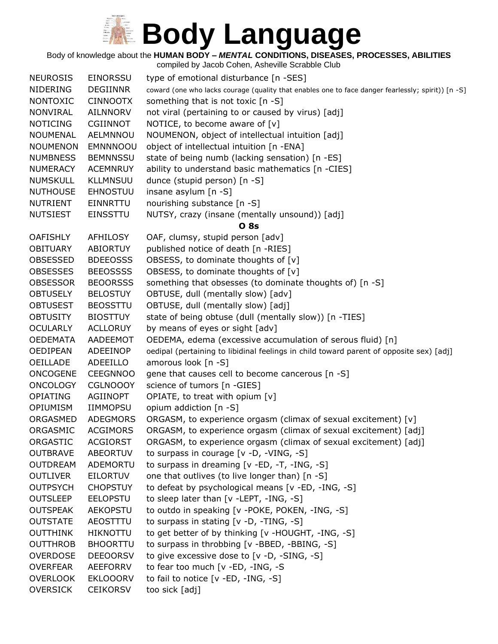Body of knowledge about the **HUMAN BODY –** *MENTAL* **CONDITIONS, DISEASES, PROCESSES, ABILITIES**

| <b>NEUROSIS</b> | <b>EINORSSU</b> | type of emotional disturbance [n -SES]                                                             |
|-----------------|-----------------|----------------------------------------------------------------------------------------------------|
| <b>NIDERING</b> | <b>DEGIINNR</b> | coward (one who lacks courage (quality that enables one to face danger fearlessly; spirit)) [n -S] |
| <b>NONTOXIC</b> | <b>CINNOOTX</b> | something that is not toxic [n -S]                                                                 |
| <b>NONVIRAL</b> | <b>AILNNORV</b> | not viral (pertaining to or caused by virus) [adj]                                                 |
| <b>NOTICING</b> | <b>CGIINNOT</b> | NOTICE, to become aware of $[v]$                                                                   |
| <b>NOUMENAL</b> | AELMNNOU        | NOUMENON, object of intellectual intuition [adj]                                                   |
| <b>NOUMENON</b> | <b>EMNNNOOU</b> | object of intellectual intuition [n -ENA]                                                          |
| <b>NUMBNESS</b> | <b>BEMNNSSU</b> | state of being numb (lacking sensation) [n -ES]                                                    |
| <b>NUMERACY</b> | <b>ACEMNRUY</b> | ability to understand basic mathematics [n -CIES]                                                  |
| <b>NUMSKULL</b> | <b>KLLMNSUU</b> | dunce (stupid person) [n -S]                                                                       |
| <b>NUTHOUSE</b> | <b>EHNOSTUU</b> | insane asylum [n -S]                                                                               |
| <b>NUTRIENT</b> | EINNRTTU        | nourishing substance [n -S]                                                                        |
| <b>NUTSIEST</b> | <b>EINSSTTU</b> | NUTSY, crazy (insane (mentally unsound)) [adj]                                                     |
|                 |                 | <b>O</b> 8s                                                                                        |
| <b>OAFISHLY</b> | AFHILOSY        | OAF, clumsy, stupid person [adv]                                                                   |
| <b>OBITUARY</b> | <b>ABIORTUY</b> | published notice of death [n -RIES]                                                                |
| <b>OBSESSED</b> | <b>BDEEOSSS</b> | OBSESS, to dominate thoughts of [v]                                                                |
| <b>OBSESSES</b> | <b>BEEOSSSS</b> | OBSESS, to dominate thoughts of [v]                                                                |
| <b>OBSESSOR</b> | <b>BEOORSSS</b> | something that obsesses (to dominate thoughts of) [n -S]                                           |
| <b>OBTUSELY</b> | <b>BELOSTUY</b> | OBTUSE, dull (mentally slow) [adv]                                                                 |
| <b>OBTUSEST</b> | <b>BEOSSTTU</b> | OBTUSE, dull (mentally slow) [adj]                                                                 |
| <b>OBTUSITY</b> | <b>BIOSTTUY</b> | state of being obtuse (dull (mentally slow)) [n -TIES]                                             |
| <b>OCULARLY</b> | <b>ACLLORUY</b> | by means of eyes or sight [adv]                                                                    |
| <b>OEDEMATA</b> | AADEEMOT        | OEDEMA, edema (excessive accumulation of serous fluid) [n]                                         |
| <b>OEDIPEAN</b> | ADEEINOP        | oedipal (pertaining to libidinal feelings in child toward parent of opposite sex) [adj]            |
| <b>OEILLADE</b> | ADEEILLO        | amorous look [n -S]                                                                                |
| <b>ONCOGENE</b> | <b>CEEGNNOO</b> | gene that causes cell to become cancerous [n -S]                                                   |
| <b>ONCOLOGY</b> | <b>CGLNOOOY</b> | science of tumors [n -GIES]                                                                        |
| <b>OPIATING</b> | AGIINOPT        | OPIATE, to treat with opium [v]                                                                    |
| <b>OPIUMISM</b> | <b>IIMMOPSU</b> | opium addiction [n -S]                                                                             |
| ORGASMED        | <b>ADEGMORS</b> | ORGASM, to experience orgasm (climax of sexual excitement) [v]                                     |
| ORGASMIC        | <b>ACGIMORS</b> | ORGASM, to experience orgasm (climax of sexual excitement) [adj]                                   |
| ORGASTIC        | <b>ACGIORST</b> | ORGASM, to experience orgasm (climax of sexual excitement) [adj]                                   |
| <b>OUTBRAVE</b> | ABEORTUV        | to surpass in courage [v -D, -VING, -S]                                                            |
| <b>OUTDREAM</b> | ADEMORTU        | to surpass in dreaming [v -ED, -T, -ING, -S]                                                       |
| <b>OUTLIVER</b> | <b>EILORTUV</b> | one that outlives (to live longer than) [n -S]                                                     |
| <b>OUTPSYCH</b> | <b>CHOPSTUY</b> | to defeat by psychological means [v -ED, -ING, -S]                                                 |
| <b>OUTSLEEP</b> | <b>EELOPSTU</b> | to sleep later than [v -LEPT, -ING, -S]                                                            |
| <b>OUTSPEAK</b> | <b>AEKOPSTU</b> | to outdo in speaking [v -POKE, POKEN, -ING, -S]                                                    |
| <b>OUTSTATE</b> | AEOSTTTU        | to surpass in stating [v -D, -TING, -S]                                                            |
| <b>OUTTHINK</b> | HIKNOTTU        | to get better of by thinking [v -HOUGHT, -ING, -S]                                                 |
| <b>OUTTHROB</b> | <b>BHOORTTU</b> | to surpass in throbbing [v -BBED, -BBING, -S]                                                      |
| <b>OVERDOSE</b> | <b>DEEOORSV</b> | to give excessive dose to [v -D, -SING, -S]                                                        |
| <b>OVERFEAR</b> | AEEFORRV        | to fear too much [v -ED, -ING, -S                                                                  |
| <b>OVERLOOK</b> | <b>EKLOOORV</b> | to fail to notice [v -ED, -ING, -S]                                                                |
| <b>OVERSICK</b> | <b>CEIKORSV</b> | too sick [adj]                                                                                     |
|                 |                 |                                                                                                    |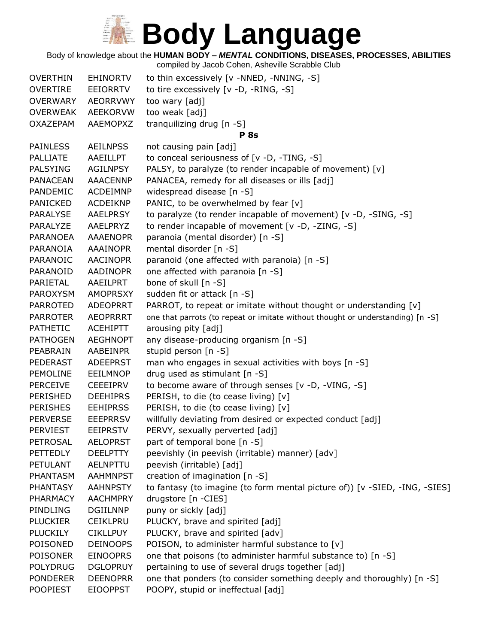Body of knowledge about the **HUMAN BODY –** *MENTAL* **CONDITIONS, DISEASES, PROCESSES, ABILITIES**

| <b>OVERTHIN</b> | <b>EHINORTV</b> | to thin excessively [v -NNED, -NNING, -S]                                       |
|-----------------|-----------------|---------------------------------------------------------------------------------|
| <b>OVERTIRE</b> | EEIORRTV        | to tire excessively [v -D, -RING, -S]                                           |
| <b>OVERWARY</b> | <b>AEORRVWY</b> | too wary [adj]                                                                  |
| <b>OVERWEAK</b> | <b>AEEKORVW</b> | too weak [adj]                                                                  |
| <b>OXAZEPAM</b> | AAEMOPXZ        | tranquilizing drug [n -S]                                                       |
|                 |                 | <b>P</b> 8s                                                                     |
| <b>PAINLESS</b> | <b>AEILNPSS</b> | not causing pain [adj]                                                          |
| <b>PALLIATE</b> | AAEILLPT        | to conceal seriousness of [v -D, -TING, -S]                                     |
| <b>PALSYING</b> | <b>AGILNPSY</b> | PALSY, to paralyze (to render incapable of movement) [v]                        |
| <b>PANACEAN</b> | <b>AAACENNP</b> | PANACEA, remedy for all diseases or ills [adj]                                  |
| PANDEMIC        | ACDEIMNP        | widespread disease [n -S]                                                       |
| <b>PANICKED</b> | ACDEIKNP        | PANIC, to be overwhelmed by fear [v]                                            |
| <b>PARALYSE</b> | AAELPRSY        | to paralyze (to render incapable of movement) [v -D, -SING, -S]                 |
| PARALYZE        | AAELPRYZ        | to render incapable of movement [v -D, -ZING, -S]                               |
| <b>PARANOEA</b> | <b>AAAENOPR</b> | paranoia (mental disorder) [n -S]                                               |
| PARANOIA        | <b>AAAINOPR</b> | mental disorder [n -S]                                                          |
| PARANOIC        | <b>AACINOPR</b> | paranoid (one affected with paranoia) [n -S]                                    |
| PARANOID        | AADINOPR        | one affected with paranoia [n -S]                                               |
| PARIETAL        | AAEILPRT        | bone of skull [n -S]                                                            |
| PAROXYSM        | <b>AMOPRSXY</b> | sudden fit or attack [n -S]                                                     |
| <b>PARROTED</b> | <b>ADEOPRRT</b> | PARROT, to repeat or imitate without thought or understanding [v]               |
| <b>PARROTER</b> | <b>AEOPRRRT</b> | one that parrots (to repeat or imitate without thought or understanding) [n -S] |
| <b>PATHETIC</b> | ACEHIPTT        | arousing pity [adj]                                                             |
| <b>PATHOGEN</b> | <b>AEGHNOPT</b> | any disease-producing organism [n -S]                                           |
| PEABRAIN        | AABEINPR        | stupid person [n -S]                                                            |
| PEDERAST        | <b>ADEEPRST</b> | man who engages in sexual activities with boys [n -S]                           |
| <b>PEMOLINE</b> | <b>EEILMNOP</b> | drug used as stimulant [n -S]                                                   |
| <b>PERCEIVE</b> | <b>CEEEIPRV</b> | to become aware of through senses [v -D, -VING, -S]                             |
| <b>PERISHED</b> | <b>DEEHIPRS</b> | PERISH, to die (to cease living) [v]                                            |
| <b>PERISHES</b> | <b>EEHIPRSS</b> | PERISH, to die (to cease living) [v]                                            |
| <b>PERVERSE</b> | <b>EEEPRRSV</b> | willfully deviating from desired or expected conduct [adj]                      |
| <b>PERVIEST</b> | <b>EEIPRSTV</b> | PERVY, sexually perverted [adj]                                                 |
| <b>PETROSAL</b> | <b>AELOPRST</b> | part of temporal bone [n -S]                                                    |
| <b>PETTEDLY</b> | <b>DEELPTTY</b> | peevishly (in peevish (irritable) manner) [adv]                                 |
| <b>PETULANT</b> | AELNPTTU        | peevish (irritable) [adj]                                                       |
| PHANTASM        | <b>AAHMNPST</b> | creation of imagination [n -S]                                                  |
| <b>PHANTASY</b> | <b>AAHNPSTY</b> | to fantasy (to imagine (to form mental picture of)) [v -SIED, -ING, -SIES]      |
| <b>PHARMACY</b> | <b>AACHMPRY</b> | drugstore [n -CIES]                                                             |
| PINDLING        | <b>DGIILNNP</b> | puny or sickly [adj]                                                            |
| <b>PLUCKIER</b> | <b>CEIKLPRU</b> | PLUCKY, brave and spirited [adj]                                                |
| <b>PLUCKILY</b> | <b>CIKLLPUY</b> | PLUCKY, brave and spirited [adv]                                                |
| POISONED        | <b>DEINOOPS</b> | POISON, to administer harmful substance to [v]                                  |
| <b>POISONER</b> | <b>EINOOPRS</b> | one that poisons (to administer harmful substance to) [n -S]                    |
| <b>POLYDRUG</b> | <b>DGLOPRUY</b> | pertaining to use of several drugs together [adj]                               |
| <b>PONDERER</b> | <b>DEENOPRR</b> | one that ponders (to consider something deeply and thoroughly) [n -S]           |
| <b>POOPIEST</b> | <b>EIOOPPST</b> | POOPY, stupid or ineffectual [adj]                                              |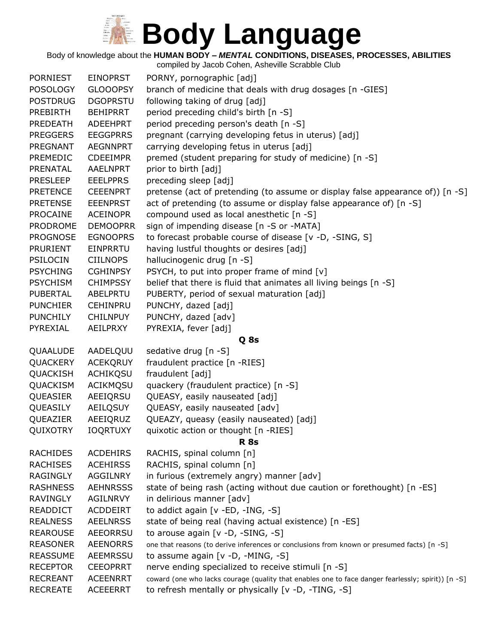Body of knowledge about the **HUMAN BODY –** *MENTAL* **CONDITIONS, DISEASES, PROCESSES, ABILITIES** compiled by Jacob Cohen, Asheville Scrabble Club

| <b>PORNIEST</b> | <b>EINOPRST</b> | PORNY, pornographic [adj]                                                                          |
|-----------------|-----------------|----------------------------------------------------------------------------------------------------|
| <b>POSOLOGY</b> | <b>GLOOOPSY</b> | branch of medicine that deals with drug dosages [n -GIES]                                          |
| <b>POSTDRUG</b> | <b>DGOPRSTU</b> | following taking of drug [adj]                                                                     |
| <b>PREBIRTH</b> | <b>BEHIPRRT</b> | period preceding child's birth [n -S]                                                              |
| <b>PREDEATH</b> | ADEEHPRT        | period preceding person's death [n -S]                                                             |
| <b>PREGGERS</b> | <b>EEGGPRRS</b> | pregnant (carrying developing fetus in uterus) [adj]                                               |
| PREGNANT        | <b>AEGNNPRT</b> | carrying developing fetus in uterus [adj]                                                          |
| PREMEDIC        | <b>CDEEIMPR</b> | premed (student preparing for study of medicine) [n -S]                                            |
| PRENATAL        | <b>AAELNPRT</b> | prior to birth [adj]                                                                               |
| <b>PRESLEEP</b> | <b>EEELPPRS</b> | preceding sleep [adj]                                                                              |
| <b>PRETENCE</b> | <b>CEEENPRT</b> | pretense (act of pretending (to assume or display false appearance of)) [n -S]                     |
| <b>PRETENSE</b> | <b>EEENPRST</b> | act of pretending (to assume or display false appearance of) [n -S]                                |
| <b>PROCAINE</b> | <b>ACEINOPR</b> | compound used as local anesthetic [n -S]                                                           |
| <b>PRODROME</b> | <b>DEMOOPRR</b> | sign of impending disease [n -S or -MATA]                                                          |
| <b>PROGNOSE</b> | <b>EGNOOPRS</b> | to forecast probable course of disease [v -D, -SING, S]                                            |
| <b>PRURIENT</b> | EINPRRTU        | having lustful thoughts or desires [adj]                                                           |
| <b>PSILOCIN</b> | <b>CIILNOPS</b> | hallucinogenic drug [n -S]                                                                         |
| <b>PSYCHING</b> | <b>CGHINPSY</b> | PSYCH, to put into proper frame of mind [v]                                                        |
| <b>PSYCHISM</b> | <b>CHIMPSSY</b> | belief that there is fluid that animates all living beings [n -S]                                  |
| <b>PUBERTAL</b> | ABELPRTU        | PUBERTY, period of sexual maturation [adj]                                                         |
| <b>PUNCHIER</b> | <b>CEHINPRU</b> | PUNCHY, dazed [adj]                                                                                |
| <b>PUNCHILY</b> | <b>CHILNPUY</b> | PUNCHY, dazed [adv]                                                                                |
| PYREXIAL        | AEILPRXY        | PYREXIA, fever [adj]                                                                               |
|                 |                 | Q 8s                                                                                               |
| QUAALUDE        | AADELQUU        | sedative drug [n -S]                                                                               |
| QUACKERY        | <b>ACEKQRUY</b> | fraudulent practice [n -RIES]                                                                      |
| QUACKISH        | <b>ACHIKQSU</b> | fraudulent [adj]                                                                                   |
| QUACKISM        | ACIKMQSU        | quackery (fraudulent practice) [n -S]                                                              |
| QUEASIER        | AEEIQRSU        | QUEASY, easily nauseated [adj]                                                                     |
| QUEASILY        | AEILQSUY        | QUEASY, easily nauseated [adv]                                                                     |
| QUEAZIER        | AEEIQRUZ        | QUEAZY, queasy (easily nauseated) [adj]                                                            |
| QUIXOTRY        | IOQRTUXY        | quixotic action or thought [n -RIES]                                                               |
|                 |                 | <b>R</b> 8s                                                                                        |
| <b>RACHIDES</b> | <b>ACDEHIRS</b> | RACHIS, spinal column [n]                                                                          |
| <b>RACHISES</b> | <b>ACEHIRSS</b> | RACHIS, spinal column [n]                                                                          |
| <b>RAGINGLY</b> | <b>AGGILNRY</b> | in furious (extremely angry) manner [adv]                                                          |
| <b>RASHNESS</b> | <b>AEHNRSSS</b> | state of being rash (acting without due caution or forethought) [n -ES]                            |
| <b>RAVINGLY</b> | AGILNRVY        | in delirious manner [adv]                                                                          |
| READDICT        | ACDDEIRT        | to addict again [v -ED, -ING, -S]                                                                  |
| <b>REALNESS</b> | <b>AEELNRSS</b> | state of being real (having actual existence) [n -ES]                                              |
| <b>REAROUSE</b> | AEEORRSU        | to arouse again [v -D, -SING, -S]                                                                  |
| <b>REASONER</b> | <b>AEENORRS</b> | one that reasons (to derive inferences or conclusions from known or presumed facts) [n -S]         |
| <b>REASSUME</b> | AEEMRSSU        | to assume again [v -D, -MING, -S]                                                                  |
| <b>RECEPTOR</b> | <b>CEEOPRRT</b> | nerve ending specialized to receive stimuli [n -S]                                                 |
| <b>RECREANT</b> | <b>ACEENRRT</b> | coward (one who lacks courage (quality that enables one to face danger fearlessly; spirit)) [n -S] |
| <b>RECREATE</b> | <b>ACEEERRT</b> | to refresh mentally or physically [v -D, -TING, -S]                                                |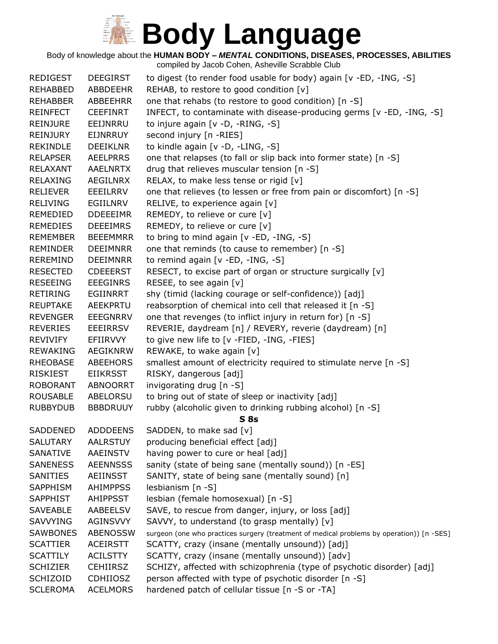Body of knowledge about the **HUMAN BODY –** *MENTAL* **CONDITIONS, DISEASES, PROCESSES, ABILITIES**

| <b>REDIGEST</b> | <b>DEEGIRST</b> | to digest (to render food usable for body) again [v -ED, -ING, -S]                        |
|-----------------|-----------------|-------------------------------------------------------------------------------------------|
| REHABBED        | ABBDEEHR        | REHAB, to restore to good condition [v]                                                   |
| <b>REHABBER</b> | ABBEEHRR        | one that rehabs (to restore to good condition) [n -S]                                     |
| <b>REINFECT</b> | <b>CEEFINRT</b> | INFECT, to contaminate with disease-producing germs [v -ED, -ING, -S]                     |
| <b>REINJURE</b> | EEIJNRRU        | to injure again [v -D, -RING, -S]                                                         |
| REINJURY        | <b>EIJNRRUY</b> | second injury [n -RIES]                                                                   |
| <b>REKINDLE</b> | <b>DEEIKLNR</b> | to kindle again [v -D, -LING, -S]                                                         |
| <b>RELAPSER</b> | <b>AEELPRRS</b> | one that relapses (to fall or slip back into former state) [n -S]                         |
| RELAXANT        | <b>AAELNRTX</b> | drug that relieves muscular tension [n -S]                                                |
| <b>RELAXING</b> | AEGILNRX        | RELAX, to make less tense or rigid [v]                                                    |
| <b>RELIEVER</b> | EEEILRRV        | one that relieves (to lessen or free from pain or discomfort) [n -S]                      |
| <b>RELIVING</b> | EGIILNRV        | RELIVE, to experience again [v]                                                           |
| REMEDIED        | <b>DDEEEIMR</b> | REMEDY, to relieve or cure [v]                                                            |
| <b>REMEDIES</b> | <b>DEEEIMRS</b> | REMEDY, to relieve or cure [v]                                                            |
| <b>REMEMBER</b> | <b>BEEEMMRR</b> | to bring to mind again $[v - ED, -ING, -S]$                                               |
| <b>REMINDER</b> | <b>DEEIMNRR</b> | one that reminds (to cause to remember) [n -S]                                            |
| <b>REREMIND</b> | <b>DEEIMNRR</b> | to remind again [v -ED, -ING, -S]                                                         |
| <b>RESECTED</b> | <b>CDEEERST</b> | RESECT, to excise part of organ or structure surgically [v]                               |
| <b>RESEEING</b> | EEEGINRS        | RESEE, to see again [v]                                                                   |
| <b>RETIRING</b> | EGIINRRT        | shy (timid (lacking courage or self-confidence)) [adj]                                    |
| <b>REUPTAKE</b> | <b>AEEKPRTU</b> | reabsorption of chemical into cell that released it [n -S]                                |
| <b>REVENGER</b> | <b>EEEGNRRV</b> | one that revenges (to inflict injury in return for) [n -S]                                |
| <b>REVERIES</b> | EEEIRRSV        | REVERIE, daydream [n] / REVERY, reverie (daydream) [n]                                    |
| <b>REVIVIFY</b> | EFIIRVVY        | to give new life to [v -FIED, -ING, -FIES]                                                |
| REWAKING        | <b>AEGIKNRW</b> | REWAKE, to wake again [v]                                                                 |
| RHEOBASE        | ABEEHORS        | smallest amount of electricity required to stimulate nerve [n -S]                         |
| <b>RISKIEST</b> | <b>EIIKRSST</b> | RISKY, dangerous [adj]                                                                    |
| <b>ROBORANT</b> | <b>ABNOORRT</b> | invigorating drug [n -S]                                                                  |
| <b>ROUSABLE</b> | ABELORSU        | to bring out of state of sleep or inactivity [adj]                                        |
| <b>RUBBYDUB</b> | <b>BBBDRUUY</b> | rubby (alcoholic given to drinking rubbing alcohol) [n -S]                                |
|                 |                 | S <sub>8s</sub>                                                                           |
| <b>SADDENED</b> | <b>ADDDEENS</b> | SADDEN, to make sad [v]                                                                   |
| <b>SALUTARY</b> | <b>AALRSTUY</b> | producing beneficial effect [adj]                                                         |
| SANATIVE        | AAEINSTV        | having power to cure or heal [adj]                                                        |
| <b>SANENESS</b> | <b>AEENNSSS</b> | sanity (state of being sane (mentally sound)) [n -ES]                                     |
| SANITIES        | AEIINSST        | SANITY, state of being sane (mentally sound) [n]                                          |
| <b>SAPPHISM</b> | <b>AHIMPPSS</b> | lesbianism [n -S]                                                                         |
| <b>SAPPHIST</b> | <b>AHIPPSST</b> | lesbian (female homosexual) [n -S]                                                        |
| <b>SAVEABLE</b> | AABEELSV        | SAVE, to rescue from danger, injury, or loss [adj]                                        |
| <b>SAVVYING</b> | AGINSVVY        | SAVVY, to understand (to grasp mentally) [v]                                              |
| SAWBONES        | <b>ABENOSSW</b> | surgeon (one who practices surgery (treatment of medical problems by operation)) [n -SES] |
| <b>SCATTIER</b> | <b>ACEIRSTT</b> | SCATTY, crazy (insane (mentally unsound)) [adj]                                           |
| <b>SCATTILY</b> | <b>ACILSTTY</b> | SCATTY, crazy (insane (mentally unsound)) [adv]                                           |
| <b>SCHIZIER</b> | <b>CEHIIRSZ</b> | SCHIZY, affected with schizophrenia (type of psychotic disorder) [adj]                    |
| <b>SCHIZOID</b> | <b>CDHIIOSZ</b> | person affected with type of psychotic disorder [n -S]                                    |
| <b>SCLEROMA</b> | <b>ACELMORS</b> | hardened patch of cellular tissue [n -S or -TA]                                           |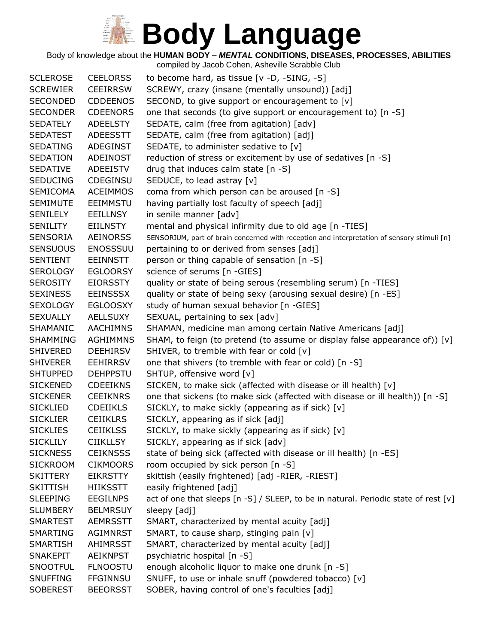Body of knowledge about the **HUMAN BODY –** *MENTAL* **CONDITIONS, DISEASES, PROCESSES, ABILITIES**

| SCREWY, crazy (insane (mentally unsound)) [adj]<br><b>SCREWIER</b><br><b>CEEIRRSW</b><br><b>SECONDED</b><br><b>CDDEENOS</b><br>SECOND, to give support or encouragement to [v]<br><b>SECONDER</b><br><b>CDEENORS</b><br>one that seconds (to give support or encouragement to) [n -S]<br>SEDATE, calm (free from agitation) [adv]<br><b>SEDATELY</b><br><b>ADEELSTY</b><br>SEDATE, calm (free from agitation) [adj]<br><b>SEDATEST</b><br>ADEESSTT<br>SEDATE, to administer sedative to [v]<br>SEDATING<br>ADEGINST<br>reduction of stress or excitement by use of sedatives [n -S]<br><b>SEDATION</b><br>ADEINOST<br>drug that induces calm state [n -S]<br><b>SEDATIVE</b><br>ADEEISTV<br>SEDUCE, to lead astray [v]<br><b>SEDUCING</b><br>CDEGINSU<br>coma from which person can be aroused [n -S]<br><b>SEMICOMA</b><br><b>ACEIMMOS</b><br>having partially lost faculty of speech [adj]<br><b>SEMIMUTE</b><br><b>EEIMMSTU</b><br>in senile manner [adv]<br>SENILELY<br>EEILLNSY<br><b>SENILITY</b><br>mental and physical infirmity due to old age [n -TIES]<br><b>EIILNSTY</b><br><b>SENSORIA</b><br><b>AEINORSS</b><br>SENSORIUM, part of brain concerned with reception and interpretation of sensory stimuli [n]<br>pertaining to or derived from senses [adj]<br><b>SENSUOUS</b><br><b>ENOSSSUU</b><br><b>EEINNSTT</b><br>person or thing capable of sensation [n -S]<br><b>SENTIENT</b><br>science of serums [n -GIES]<br>SEROLOGY<br><b>EGLOORSY</b><br>quality or state of being serous (resembling serum) [n -TIES]<br>SEROSITY<br>EIORSSTY<br>quality or state of being sexy (arousing sexual desire) [n -ES]<br><b>SEXINESS</b><br><b>EEINSSSX</b><br><b>SEXOLOGY</b><br><b>EGLOOSXY</b><br>study of human sexual behavior [n -GIES]<br><b>SEXUALLY</b><br>AELLSUXY<br>SEXUAL, pertaining to sex [adv]<br><b>AACHIMNS</b><br>SHAMAN, medicine man among certain Native Americans [adj]<br>SHAMANIC<br>SHAM, to feign (to pretend (to assume or display false appearance of)) [v]<br><b>AGHIMMNS</b><br><b>SHAMMING</b><br>SHIVER, to tremble with fear or cold [v]<br><b>SHIVERED</b><br>DEEHIRSV<br>one that shivers (to tremble with fear or cold) [n -S]<br><b>SHIVERER</b><br><b>EEHIRRSV</b><br>SHTUP, offensive word [v]<br><b>SHTUPPED</b><br><b>DEHPPSTU</b><br>SICKEN, to make sick (affected with disease or ill health) [v]<br><b>SICKENED</b><br><b>CDEEIKNS</b><br>one that sickens (to make sick (affected with disease or ill health)) [n -S]<br><b>SICKENER</b><br><b>CEEIKNRS</b><br>SICKLY, to make sickly (appearing as if sick) [v]<br><b>SICKLIED</b><br><b>CDEIIKLS</b><br>SICKLY, appearing as if sick [adj]<br><b>SICKLIER</b><br><b>CEIIKLRS</b><br><b>SICKLIES</b><br><b>CEIIKLSS</b><br>SICKLY, to make sickly (appearing as if sick) [v]<br>SICKLY, appearing as if sick [adv]<br><b>SICKLILY</b><br><b>CIIKLLSY</b><br><b>SICKNESS</b><br><b>CEIKNSSS</b><br>state of being sick (affected with disease or ill health) [n -ES]<br>room occupied by sick person [n -S]<br><b>SICKROOM</b><br><b>CIKMOORS</b><br>skittish (easily frightened) [adj -RIER, -RIEST]<br><b>SKITTERY</b><br><b>EIKRSTTY</b><br>easily frightened [adj]<br><b>SKITTISH</b><br><b>HIIKSSTT</b><br><b>SLEEPING</b><br><b>EEGILNPS</b><br>act of one that sleeps [n -S] / SLEEP, to be in natural. Periodic state of rest [v]<br><b>SLUMBERY</b><br><b>BELMRSUY</b><br>sleepy [adj]<br>SMART, characterized by mental acuity [adj]<br><b>SMARTEST</b><br><b>AEMRSSTT</b><br>SMART, to cause sharp, stinging pain [v]<br>SMARTING<br>AGIMNRST<br>SMART, characterized by mental acuity [adj]<br><b>SMARTISH</b><br>AHIMRSST<br>AEIKNPST<br>psychiatric hospital [n -S]<br><b>SNAKEPIT</b><br>enough alcoholic liquor to make one drunk [n -S]<br><b>SNOOTFUL</b><br><b>FLNOOSTU</b> |                 |                 |                                               |
|-------------------------------------------------------------------------------------------------------------------------------------------------------------------------------------------------------------------------------------------------------------------------------------------------------------------------------------------------------------------------------------------------------------------------------------------------------------------------------------------------------------------------------------------------------------------------------------------------------------------------------------------------------------------------------------------------------------------------------------------------------------------------------------------------------------------------------------------------------------------------------------------------------------------------------------------------------------------------------------------------------------------------------------------------------------------------------------------------------------------------------------------------------------------------------------------------------------------------------------------------------------------------------------------------------------------------------------------------------------------------------------------------------------------------------------------------------------------------------------------------------------------------------------------------------------------------------------------------------------------------------------------------------------------------------------------------------------------------------------------------------------------------------------------------------------------------------------------------------------------------------------------------------------------------------------------------------------------------------------------------------------------------------------------------------------------------------------------------------------------------------------------------------------------------------------------------------------------------------------------------------------------------------------------------------------------------------------------------------------------------------------------------------------------------------------------------------------------------------------------------------------------------------------------------------------------------------------------------------------------------------------------------------------------------------------------------------------------------------------------------------------------------------------------------------------------------------------------------------------------------------------------------------------------------------------------------------------------------------------------------------------------------------------------------------------------------------------------------------------------------------------------------------------------------------------------------------------------------------------------------------------------------------------------------------------------------------------------------------------------------------------------------------------------------------------------------------------------------------------------------------------------------------------------------------------------------------------------------------------------------------------------------------------------------------------------------------------------------------------------------------------------------------------------------------|-----------------|-----------------|-----------------------------------------------|
|                                                                                                                                                                                                                                                                                                                                                                                                                                                                                                                                                                                                                                                                                                                                                                                                                                                                                                                                                                                                                                                                                                                                                                                                                                                                                                                                                                                                                                                                                                                                                                                                                                                                                                                                                                                                                                                                                                                                                                                                                                                                                                                                                                                                                                                                                                                                                                                                                                                                                                                                                                                                                                                                                                                                                                                                                                                                                                                                                                                                                                                                                                                                                                                                                                                                                                                                                                                                                                                                                                                                                                                                                                                                                                                                                                                                       | <b>SCLEROSE</b> | <b>CEELORSS</b> | to become hard, as tissue $[v -D, -SING, -S]$ |
|                                                                                                                                                                                                                                                                                                                                                                                                                                                                                                                                                                                                                                                                                                                                                                                                                                                                                                                                                                                                                                                                                                                                                                                                                                                                                                                                                                                                                                                                                                                                                                                                                                                                                                                                                                                                                                                                                                                                                                                                                                                                                                                                                                                                                                                                                                                                                                                                                                                                                                                                                                                                                                                                                                                                                                                                                                                                                                                                                                                                                                                                                                                                                                                                                                                                                                                                                                                                                                                                                                                                                                                                                                                                                                                                                                                                       |                 |                 |                                               |
|                                                                                                                                                                                                                                                                                                                                                                                                                                                                                                                                                                                                                                                                                                                                                                                                                                                                                                                                                                                                                                                                                                                                                                                                                                                                                                                                                                                                                                                                                                                                                                                                                                                                                                                                                                                                                                                                                                                                                                                                                                                                                                                                                                                                                                                                                                                                                                                                                                                                                                                                                                                                                                                                                                                                                                                                                                                                                                                                                                                                                                                                                                                                                                                                                                                                                                                                                                                                                                                                                                                                                                                                                                                                                                                                                                                                       |                 |                 |                                               |
|                                                                                                                                                                                                                                                                                                                                                                                                                                                                                                                                                                                                                                                                                                                                                                                                                                                                                                                                                                                                                                                                                                                                                                                                                                                                                                                                                                                                                                                                                                                                                                                                                                                                                                                                                                                                                                                                                                                                                                                                                                                                                                                                                                                                                                                                                                                                                                                                                                                                                                                                                                                                                                                                                                                                                                                                                                                                                                                                                                                                                                                                                                                                                                                                                                                                                                                                                                                                                                                                                                                                                                                                                                                                                                                                                                                                       |                 |                 |                                               |
|                                                                                                                                                                                                                                                                                                                                                                                                                                                                                                                                                                                                                                                                                                                                                                                                                                                                                                                                                                                                                                                                                                                                                                                                                                                                                                                                                                                                                                                                                                                                                                                                                                                                                                                                                                                                                                                                                                                                                                                                                                                                                                                                                                                                                                                                                                                                                                                                                                                                                                                                                                                                                                                                                                                                                                                                                                                                                                                                                                                                                                                                                                                                                                                                                                                                                                                                                                                                                                                                                                                                                                                                                                                                                                                                                                                                       |                 |                 |                                               |
|                                                                                                                                                                                                                                                                                                                                                                                                                                                                                                                                                                                                                                                                                                                                                                                                                                                                                                                                                                                                                                                                                                                                                                                                                                                                                                                                                                                                                                                                                                                                                                                                                                                                                                                                                                                                                                                                                                                                                                                                                                                                                                                                                                                                                                                                                                                                                                                                                                                                                                                                                                                                                                                                                                                                                                                                                                                                                                                                                                                                                                                                                                                                                                                                                                                                                                                                                                                                                                                                                                                                                                                                                                                                                                                                                                                                       |                 |                 |                                               |
|                                                                                                                                                                                                                                                                                                                                                                                                                                                                                                                                                                                                                                                                                                                                                                                                                                                                                                                                                                                                                                                                                                                                                                                                                                                                                                                                                                                                                                                                                                                                                                                                                                                                                                                                                                                                                                                                                                                                                                                                                                                                                                                                                                                                                                                                                                                                                                                                                                                                                                                                                                                                                                                                                                                                                                                                                                                                                                                                                                                                                                                                                                                                                                                                                                                                                                                                                                                                                                                                                                                                                                                                                                                                                                                                                                                                       |                 |                 |                                               |
|                                                                                                                                                                                                                                                                                                                                                                                                                                                                                                                                                                                                                                                                                                                                                                                                                                                                                                                                                                                                                                                                                                                                                                                                                                                                                                                                                                                                                                                                                                                                                                                                                                                                                                                                                                                                                                                                                                                                                                                                                                                                                                                                                                                                                                                                                                                                                                                                                                                                                                                                                                                                                                                                                                                                                                                                                                                                                                                                                                                                                                                                                                                                                                                                                                                                                                                                                                                                                                                                                                                                                                                                                                                                                                                                                                                                       |                 |                 |                                               |
|                                                                                                                                                                                                                                                                                                                                                                                                                                                                                                                                                                                                                                                                                                                                                                                                                                                                                                                                                                                                                                                                                                                                                                                                                                                                                                                                                                                                                                                                                                                                                                                                                                                                                                                                                                                                                                                                                                                                                                                                                                                                                                                                                                                                                                                                                                                                                                                                                                                                                                                                                                                                                                                                                                                                                                                                                                                                                                                                                                                                                                                                                                                                                                                                                                                                                                                                                                                                                                                                                                                                                                                                                                                                                                                                                                                                       |                 |                 |                                               |
|                                                                                                                                                                                                                                                                                                                                                                                                                                                                                                                                                                                                                                                                                                                                                                                                                                                                                                                                                                                                                                                                                                                                                                                                                                                                                                                                                                                                                                                                                                                                                                                                                                                                                                                                                                                                                                                                                                                                                                                                                                                                                                                                                                                                                                                                                                                                                                                                                                                                                                                                                                                                                                                                                                                                                                                                                                                                                                                                                                                                                                                                                                                                                                                                                                                                                                                                                                                                                                                                                                                                                                                                                                                                                                                                                                                                       |                 |                 |                                               |
|                                                                                                                                                                                                                                                                                                                                                                                                                                                                                                                                                                                                                                                                                                                                                                                                                                                                                                                                                                                                                                                                                                                                                                                                                                                                                                                                                                                                                                                                                                                                                                                                                                                                                                                                                                                                                                                                                                                                                                                                                                                                                                                                                                                                                                                                                                                                                                                                                                                                                                                                                                                                                                                                                                                                                                                                                                                                                                                                                                                                                                                                                                                                                                                                                                                                                                                                                                                                                                                                                                                                                                                                                                                                                                                                                                                                       |                 |                 |                                               |
|                                                                                                                                                                                                                                                                                                                                                                                                                                                                                                                                                                                                                                                                                                                                                                                                                                                                                                                                                                                                                                                                                                                                                                                                                                                                                                                                                                                                                                                                                                                                                                                                                                                                                                                                                                                                                                                                                                                                                                                                                                                                                                                                                                                                                                                                                                                                                                                                                                                                                                                                                                                                                                                                                                                                                                                                                                                                                                                                                                                                                                                                                                                                                                                                                                                                                                                                                                                                                                                                                                                                                                                                                                                                                                                                                                                                       |                 |                 |                                               |
|                                                                                                                                                                                                                                                                                                                                                                                                                                                                                                                                                                                                                                                                                                                                                                                                                                                                                                                                                                                                                                                                                                                                                                                                                                                                                                                                                                                                                                                                                                                                                                                                                                                                                                                                                                                                                                                                                                                                                                                                                                                                                                                                                                                                                                                                                                                                                                                                                                                                                                                                                                                                                                                                                                                                                                                                                                                                                                                                                                                                                                                                                                                                                                                                                                                                                                                                                                                                                                                                                                                                                                                                                                                                                                                                                                                                       |                 |                 |                                               |
|                                                                                                                                                                                                                                                                                                                                                                                                                                                                                                                                                                                                                                                                                                                                                                                                                                                                                                                                                                                                                                                                                                                                                                                                                                                                                                                                                                                                                                                                                                                                                                                                                                                                                                                                                                                                                                                                                                                                                                                                                                                                                                                                                                                                                                                                                                                                                                                                                                                                                                                                                                                                                                                                                                                                                                                                                                                                                                                                                                                                                                                                                                                                                                                                                                                                                                                                                                                                                                                                                                                                                                                                                                                                                                                                                                                                       |                 |                 |                                               |
|                                                                                                                                                                                                                                                                                                                                                                                                                                                                                                                                                                                                                                                                                                                                                                                                                                                                                                                                                                                                                                                                                                                                                                                                                                                                                                                                                                                                                                                                                                                                                                                                                                                                                                                                                                                                                                                                                                                                                                                                                                                                                                                                                                                                                                                                                                                                                                                                                                                                                                                                                                                                                                                                                                                                                                                                                                                                                                                                                                                                                                                                                                                                                                                                                                                                                                                                                                                                                                                                                                                                                                                                                                                                                                                                                                                                       |                 |                 |                                               |
|                                                                                                                                                                                                                                                                                                                                                                                                                                                                                                                                                                                                                                                                                                                                                                                                                                                                                                                                                                                                                                                                                                                                                                                                                                                                                                                                                                                                                                                                                                                                                                                                                                                                                                                                                                                                                                                                                                                                                                                                                                                                                                                                                                                                                                                                                                                                                                                                                                                                                                                                                                                                                                                                                                                                                                                                                                                                                                                                                                                                                                                                                                                                                                                                                                                                                                                                                                                                                                                                                                                                                                                                                                                                                                                                                                                                       |                 |                 |                                               |
|                                                                                                                                                                                                                                                                                                                                                                                                                                                                                                                                                                                                                                                                                                                                                                                                                                                                                                                                                                                                                                                                                                                                                                                                                                                                                                                                                                                                                                                                                                                                                                                                                                                                                                                                                                                                                                                                                                                                                                                                                                                                                                                                                                                                                                                                                                                                                                                                                                                                                                                                                                                                                                                                                                                                                                                                                                                                                                                                                                                                                                                                                                                                                                                                                                                                                                                                                                                                                                                                                                                                                                                                                                                                                                                                                                                                       |                 |                 |                                               |
|                                                                                                                                                                                                                                                                                                                                                                                                                                                                                                                                                                                                                                                                                                                                                                                                                                                                                                                                                                                                                                                                                                                                                                                                                                                                                                                                                                                                                                                                                                                                                                                                                                                                                                                                                                                                                                                                                                                                                                                                                                                                                                                                                                                                                                                                                                                                                                                                                                                                                                                                                                                                                                                                                                                                                                                                                                                                                                                                                                                                                                                                                                                                                                                                                                                                                                                                                                                                                                                                                                                                                                                                                                                                                                                                                                                                       |                 |                 |                                               |
|                                                                                                                                                                                                                                                                                                                                                                                                                                                                                                                                                                                                                                                                                                                                                                                                                                                                                                                                                                                                                                                                                                                                                                                                                                                                                                                                                                                                                                                                                                                                                                                                                                                                                                                                                                                                                                                                                                                                                                                                                                                                                                                                                                                                                                                                                                                                                                                                                                                                                                                                                                                                                                                                                                                                                                                                                                                                                                                                                                                                                                                                                                                                                                                                                                                                                                                                                                                                                                                                                                                                                                                                                                                                                                                                                                                                       |                 |                 |                                               |
|                                                                                                                                                                                                                                                                                                                                                                                                                                                                                                                                                                                                                                                                                                                                                                                                                                                                                                                                                                                                                                                                                                                                                                                                                                                                                                                                                                                                                                                                                                                                                                                                                                                                                                                                                                                                                                                                                                                                                                                                                                                                                                                                                                                                                                                                                                                                                                                                                                                                                                                                                                                                                                                                                                                                                                                                                                                                                                                                                                                                                                                                                                                                                                                                                                                                                                                                                                                                                                                                                                                                                                                                                                                                                                                                                                                                       |                 |                 |                                               |
|                                                                                                                                                                                                                                                                                                                                                                                                                                                                                                                                                                                                                                                                                                                                                                                                                                                                                                                                                                                                                                                                                                                                                                                                                                                                                                                                                                                                                                                                                                                                                                                                                                                                                                                                                                                                                                                                                                                                                                                                                                                                                                                                                                                                                                                                                                                                                                                                                                                                                                                                                                                                                                                                                                                                                                                                                                                                                                                                                                                                                                                                                                                                                                                                                                                                                                                                                                                                                                                                                                                                                                                                                                                                                                                                                                                                       |                 |                 |                                               |
|                                                                                                                                                                                                                                                                                                                                                                                                                                                                                                                                                                                                                                                                                                                                                                                                                                                                                                                                                                                                                                                                                                                                                                                                                                                                                                                                                                                                                                                                                                                                                                                                                                                                                                                                                                                                                                                                                                                                                                                                                                                                                                                                                                                                                                                                                                                                                                                                                                                                                                                                                                                                                                                                                                                                                                                                                                                                                                                                                                                                                                                                                                                                                                                                                                                                                                                                                                                                                                                                                                                                                                                                                                                                                                                                                                                                       |                 |                 |                                               |
|                                                                                                                                                                                                                                                                                                                                                                                                                                                                                                                                                                                                                                                                                                                                                                                                                                                                                                                                                                                                                                                                                                                                                                                                                                                                                                                                                                                                                                                                                                                                                                                                                                                                                                                                                                                                                                                                                                                                                                                                                                                                                                                                                                                                                                                                                                                                                                                                                                                                                                                                                                                                                                                                                                                                                                                                                                                                                                                                                                                                                                                                                                                                                                                                                                                                                                                                                                                                                                                                                                                                                                                                                                                                                                                                                                                                       |                 |                 |                                               |
|                                                                                                                                                                                                                                                                                                                                                                                                                                                                                                                                                                                                                                                                                                                                                                                                                                                                                                                                                                                                                                                                                                                                                                                                                                                                                                                                                                                                                                                                                                                                                                                                                                                                                                                                                                                                                                                                                                                                                                                                                                                                                                                                                                                                                                                                                                                                                                                                                                                                                                                                                                                                                                                                                                                                                                                                                                                                                                                                                                                                                                                                                                                                                                                                                                                                                                                                                                                                                                                                                                                                                                                                                                                                                                                                                                                                       |                 |                 |                                               |
|                                                                                                                                                                                                                                                                                                                                                                                                                                                                                                                                                                                                                                                                                                                                                                                                                                                                                                                                                                                                                                                                                                                                                                                                                                                                                                                                                                                                                                                                                                                                                                                                                                                                                                                                                                                                                                                                                                                                                                                                                                                                                                                                                                                                                                                                                                                                                                                                                                                                                                                                                                                                                                                                                                                                                                                                                                                                                                                                                                                                                                                                                                                                                                                                                                                                                                                                                                                                                                                                                                                                                                                                                                                                                                                                                                                                       |                 |                 |                                               |
|                                                                                                                                                                                                                                                                                                                                                                                                                                                                                                                                                                                                                                                                                                                                                                                                                                                                                                                                                                                                                                                                                                                                                                                                                                                                                                                                                                                                                                                                                                                                                                                                                                                                                                                                                                                                                                                                                                                                                                                                                                                                                                                                                                                                                                                                                                                                                                                                                                                                                                                                                                                                                                                                                                                                                                                                                                                                                                                                                                                                                                                                                                                                                                                                                                                                                                                                                                                                                                                                                                                                                                                                                                                                                                                                                                                                       |                 |                 |                                               |
|                                                                                                                                                                                                                                                                                                                                                                                                                                                                                                                                                                                                                                                                                                                                                                                                                                                                                                                                                                                                                                                                                                                                                                                                                                                                                                                                                                                                                                                                                                                                                                                                                                                                                                                                                                                                                                                                                                                                                                                                                                                                                                                                                                                                                                                                                                                                                                                                                                                                                                                                                                                                                                                                                                                                                                                                                                                                                                                                                                                                                                                                                                                                                                                                                                                                                                                                                                                                                                                                                                                                                                                                                                                                                                                                                                                                       |                 |                 |                                               |
|                                                                                                                                                                                                                                                                                                                                                                                                                                                                                                                                                                                                                                                                                                                                                                                                                                                                                                                                                                                                                                                                                                                                                                                                                                                                                                                                                                                                                                                                                                                                                                                                                                                                                                                                                                                                                                                                                                                                                                                                                                                                                                                                                                                                                                                                                                                                                                                                                                                                                                                                                                                                                                                                                                                                                                                                                                                                                                                                                                                                                                                                                                                                                                                                                                                                                                                                                                                                                                                                                                                                                                                                                                                                                                                                                                                                       |                 |                 |                                               |
|                                                                                                                                                                                                                                                                                                                                                                                                                                                                                                                                                                                                                                                                                                                                                                                                                                                                                                                                                                                                                                                                                                                                                                                                                                                                                                                                                                                                                                                                                                                                                                                                                                                                                                                                                                                                                                                                                                                                                                                                                                                                                                                                                                                                                                                                                                                                                                                                                                                                                                                                                                                                                                                                                                                                                                                                                                                                                                                                                                                                                                                                                                                                                                                                                                                                                                                                                                                                                                                                                                                                                                                                                                                                                                                                                                                                       |                 |                 |                                               |
|                                                                                                                                                                                                                                                                                                                                                                                                                                                                                                                                                                                                                                                                                                                                                                                                                                                                                                                                                                                                                                                                                                                                                                                                                                                                                                                                                                                                                                                                                                                                                                                                                                                                                                                                                                                                                                                                                                                                                                                                                                                                                                                                                                                                                                                                                                                                                                                                                                                                                                                                                                                                                                                                                                                                                                                                                                                                                                                                                                                                                                                                                                                                                                                                                                                                                                                                                                                                                                                                                                                                                                                                                                                                                                                                                                                                       |                 |                 |                                               |
|                                                                                                                                                                                                                                                                                                                                                                                                                                                                                                                                                                                                                                                                                                                                                                                                                                                                                                                                                                                                                                                                                                                                                                                                                                                                                                                                                                                                                                                                                                                                                                                                                                                                                                                                                                                                                                                                                                                                                                                                                                                                                                                                                                                                                                                                                                                                                                                                                                                                                                                                                                                                                                                                                                                                                                                                                                                                                                                                                                                                                                                                                                                                                                                                                                                                                                                                                                                                                                                                                                                                                                                                                                                                                                                                                                                                       |                 |                 |                                               |
|                                                                                                                                                                                                                                                                                                                                                                                                                                                                                                                                                                                                                                                                                                                                                                                                                                                                                                                                                                                                                                                                                                                                                                                                                                                                                                                                                                                                                                                                                                                                                                                                                                                                                                                                                                                                                                                                                                                                                                                                                                                                                                                                                                                                                                                                                                                                                                                                                                                                                                                                                                                                                                                                                                                                                                                                                                                                                                                                                                                                                                                                                                                                                                                                                                                                                                                                                                                                                                                                                                                                                                                                                                                                                                                                                                                                       |                 |                 |                                               |
|                                                                                                                                                                                                                                                                                                                                                                                                                                                                                                                                                                                                                                                                                                                                                                                                                                                                                                                                                                                                                                                                                                                                                                                                                                                                                                                                                                                                                                                                                                                                                                                                                                                                                                                                                                                                                                                                                                                                                                                                                                                                                                                                                                                                                                                                                                                                                                                                                                                                                                                                                                                                                                                                                                                                                                                                                                                                                                                                                                                                                                                                                                                                                                                                                                                                                                                                                                                                                                                                                                                                                                                                                                                                                                                                                                                                       |                 |                 |                                               |
|                                                                                                                                                                                                                                                                                                                                                                                                                                                                                                                                                                                                                                                                                                                                                                                                                                                                                                                                                                                                                                                                                                                                                                                                                                                                                                                                                                                                                                                                                                                                                                                                                                                                                                                                                                                                                                                                                                                                                                                                                                                                                                                                                                                                                                                                                                                                                                                                                                                                                                                                                                                                                                                                                                                                                                                                                                                                                                                                                                                                                                                                                                                                                                                                                                                                                                                                                                                                                                                                                                                                                                                                                                                                                                                                                                                                       |                 |                 |                                               |
|                                                                                                                                                                                                                                                                                                                                                                                                                                                                                                                                                                                                                                                                                                                                                                                                                                                                                                                                                                                                                                                                                                                                                                                                                                                                                                                                                                                                                                                                                                                                                                                                                                                                                                                                                                                                                                                                                                                                                                                                                                                                                                                                                                                                                                                                                                                                                                                                                                                                                                                                                                                                                                                                                                                                                                                                                                                                                                                                                                                                                                                                                                                                                                                                                                                                                                                                                                                                                                                                                                                                                                                                                                                                                                                                                                                                       |                 |                 |                                               |
|                                                                                                                                                                                                                                                                                                                                                                                                                                                                                                                                                                                                                                                                                                                                                                                                                                                                                                                                                                                                                                                                                                                                                                                                                                                                                                                                                                                                                                                                                                                                                                                                                                                                                                                                                                                                                                                                                                                                                                                                                                                                                                                                                                                                                                                                                                                                                                                                                                                                                                                                                                                                                                                                                                                                                                                                                                                                                                                                                                                                                                                                                                                                                                                                                                                                                                                                                                                                                                                                                                                                                                                                                                                                                                                                                                                                       |                 |                 |                                               |
|                                                                                                                                                                                                                                                                                                                                                                                                                                                                                                                                                                                                                                                                                                                                                                                                                                                                                                                                                                                                                                                                                                                                                                                                                                                                                                                                                                                                                                                                                                                                                                                                                                                                                                                                                                                                                                                                                                                                                                                                                                                                                                                                                                                                                                                                                                                                                                                                                                                                                                                                                                                                                                                                                                                                                                                                                                                                                                                                                                                                                                                                                                                                                                                                                                                                                                                                                                                                                                                                                                                                                                                                                                                                                                                                                                                                       |                 |                 |                                               |
|                                                                                                                                                                                                                                                                                                                                                                                                                                                                                                                                                                                                                                                                                                                                                                                                                                                                                                                                                                                                                                                                                                                                                                                                                                                                                                                                                                                                                                                                                                                                                                                                                                                                                                                                                                                                                                                                                                                                                                                                                                                                                                                                                                                                                                                                                                                                                                                                                                                                                                                                                                                                                                                                                                                                                                                                                                                                                                                                                                                                                                                                                                                                                                                                                                                                                                                                                                                                                                                                                                                                                                                                                                                                                                                                                                                                       |                 |                 |                                               |
|                                                                                                                                                                                                                                                                                                                                                                                                                                                                                                                                                                                                                                                                                                                                                                                                                                                                                                                                                                                                                                                                                                                                                                                                                                                                                                                                                                                                                                                                                                                                                                                                                                                                                                                                                                                                                                                                                                                                                                                                                                                                                                                                                                                                                                                                                                                                                                                                                                                                                                                                                                                                                                                                                                                                                                                                                                                                                                                                                                                                                                                                                                                                                                                                                                                                                                                                                                                                                                                                                                                                                                                                                                                                                                                                                                                                       |                 |                 |                                               |
|                                                                                                                                                                                                                                                                                                                                                                                                                                                                                                                                                                                                                                                                                                                                                                                                                                                                                                                                                                                                                                                                                                                                                                                                                                                                                                                                                                                                                                                                                                                                                                                                                                                                                                                                                                                                                                                                                                                                                                                                                                                                                                                                                                                                                                                                                                                                                                                                                                                                                                                                                                                                                                                                                                                                                                                                                                                                                                                                                                                                                                                                                                                                                                                                                                                                                                                                                                                                                                                                                                                                                                                                                                                                                                                                                                                                       |                 |                 |                                               |
|                                                                                                                                                                                                                                                                                                                                                                                                                                                                                                                                                                                                                                                                                                                                                                                                                                                                                                                                                                                                                                                                                                                                                                                                                                                                                                                                                                                                                                                                                                                                                                                                                                                                                                                                                                                                                                                                                                                                                                                                                                                                                                                                                                                                                                                                                                                                                                                                                                                                                                                                                                                                                                                                                                                                                                                                                                                                                                                                                                                                                                                                                                                                                                                                                                                                                                                                                                                                                                                                                                                                                                                                                                                                                                                                                                                                       |                 |                 |                                               |
|                                                                                                                                                                                                                                                                                                                                                                                                                                                                                                                                                                                                                                                                                                                                                                                                                                                                                                                                                                                                                                                                                                                                                                                                                                                                                                                                                                                                                                                                                                                                                                                                                                                                                                                                                                                                                                                                                                                                                                                                                                                                                                                                                                                                                                                                                                                                                                                                                                                                                                                                                                                                                                                                                                                                                                                                                                                                                                                                                                                                                                                                                                                                                                                                                                                                                                                                                                                                                                                                                                                                                                                                                                                                                                                                                                                                       |                 |                 |                                               |
|                                                                                                                                                                                                                                                                                                                                                                                                                                                                                                                                                                                                                                                                                                                                                                                                                                                                                                                                                                                                                                                                                                                                                                                                                                                                                                                                                                                                                                                                                                                                                                                                                                                                                                                                                                                                                                                                                                                                                                                                                                                                                                                                                                                                                                                                                                                                                                                                                                                                                                                                                                                                                                                                                                                                                                                                                                                                                                                                                                                                                                                                                                                                                                                                                                                                                                                                                                                                                                                                                                                                                                                                                                                                                                                                                                                                       |                 |                 |                                               |
|                                                                                                                                                                                                                                                                                                                                                                                                                                                                                                                                                                                                                                                                                                                                                                                                                                                                                                                                                                                                                                                                                                                                                                                                                                                                                                                                                                                                                                                                                                                                                                                                                                                                                                                                                                                                                                                                                                                                                                                                                                                                                                                                                                                                                                                                                                                                                                                                                                                                                                                                                                                                                                                                                                                                                                                                                                                                                                                                                                                                                                                                                                                                                                                                                                                                                                                                                                                                                                                                                                                                                                                                                                                                                                                                                                                                       |                 |                 |                                               |
|                                                                                                                                                                                                                                                                                                                                                                                                                                                                                                                                                                                                                                                                                                                                                                                                                                                                                                                                                                                                                                                                                                                                                                                                                                                                                                                                                                                                                                                                                                                                                                                                                                                                                                                                                                                                                                                                                                                                                                                                                                                                                                                                                                                                                                                                                                                                                                                                                                                                                                                                                                                                                                                                                                                                                                                                                                                                                                                                                                                                                                                                                                                                                                                                                                                                                                                                                                                                                                                                                                                                                                                                                                                                                                                                                                                                       |                 |                 |                                               |
| SNUFF, to use or inhale snuff (powdered tobacco) [v]<br><b>SNUFFING</b><br><b>FFGINNSU</b>                                                                                                                                                                                                                                                                                                                                                                                                                                                                                                                                                                                                                                                                                                                                                                                                                                                                                                                                                                                                                                                                                                                                                                                                                                                                                                                                                                                                                                                                                                                                                                                                                                                                                                                                                                                                                                                                                                                                                                                                                                                                                                                                                                                                                                                                                                                                                                                                                                                                                                                                                                                                                                                                                                                                                                                                                                                                                                                                                                                                                                                                                                                                                                                                                                                                                                                                                                                                                                                                                                                                                                                                                                                                                                            |                 |                 |                                               |
| SOBER, having control of one's faculties [adj]<br><b>SOBEREST</b><br><b>BEEORSST</b>                                                                                                                                                                                                                                                                                                                                                                                                                                                                                                                                                                                                                                                                                                                                                                                                                                                                                                                                                                                                                                                                                                                                                                                                                                                                                                                                                                                                                                                                                                                                                                                                                                                                                                                                                                                                                                                                                                                                                                                                                                                                                                                                                                                                                                                                                                                                                                                                                                                                                                                                                                                                                                                                                                                                                                                                                                                                                                                                                                                                                                                                                                                                                                                                                                                                                                                                                                                                                                                                                                                                                                                                                                                                                                                  |                 |                 |                                               |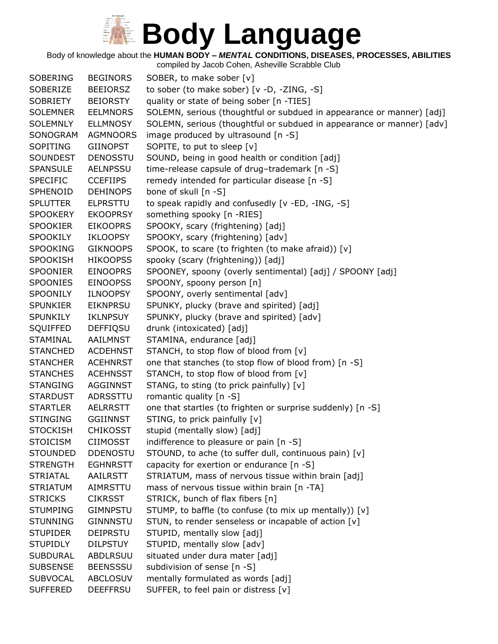Body of knowledge about the **HUMAN BODY –** *MENTAL* **CONDITIONS, DISEASES, PROCESSES, ABILITIES**

| <b>SOBERING</b> | <b>BEGINORS</b> | SOBER, to make sober [v]                                              |
|-----------------|-----------------|-----------------------------------------------------------------------|
| SOBERIZE        | <b>BEEIORSZ</b> | to sober (to make sober) [v -D, -ZING, -S]                            |
| SOBRIETY        | <b>BEIORSTY</b> | quality or state of being sober [n -TIES]                             |
| <b>SOLEMNER</b> | <b>EELMNORS</b> | SOLEMN, serious (thoughtful or subdued in appearance or manner) [adj] |
| <b>SOLEMNLY</b> | <b>ELLMNOSY</b> | SOLEMN, serious (thoughtful or subdued in appearance or manner) [adv] |
| SONOGRAM        | <b>AGMNOORS</b> | image produced by ultrasound [n -S]                                   |
| SOPITING        | <b>GIINOPST</b> | SOPITE, to put to sleep [v]                                           |
| <b>SOUNDEST</b> | <b>DENOSSTU</b> | SOUND, being in good health or condition [adj]                        |
| <b>SPANSULE</b> | <b>AELNPSSU</b> | time-release capsule of drug-trademark [n -S]                         |
| <b>SPECIFIC</b> | <b>CCEFIIPS</b> | remedy intended for particular disease [n -S]                         |
| SPHENOID        | <b>DEHINOPS</b> | bone of skull [n -S]                                                  |
| <b>SPLUTTER</b> | <b>ELPRSTTU</b> | to speak rapidly and confusedly [v -ED, -ING, -S]                     |
| <b>SPOOKERY</b> | <b>EKOOPRSY</b> | something spooky [n -RIES]                                            |
| <b>SPOOKIER</b> | <b>EIKOOPRS</b> | SPOOKY, scary (frightening) [adj]                                     |
| SPOOKILY        | IKLOOPSY        | SPOOKY, scary (frightening) [adv]                                     |
| <b>SPOOKING</b> | <b>GIKNOOPS</b> | SPOOK, to scare (to frighten (to make afraid)) [v]                    |
| <b>SPOOKISH</b> | <b>HIKOOPSS</b> | spooky (scary (frightening)) [adj]                                    |
| <b>SPOONIER</b> | <b>EINOOPRS</b> | SPOONEY, spoony (overly sentimental) [adj] / SPOONY [adj]             |
| <b>SPOONIES</b> | <b>EINOOPSS</b> | SPOONY, spoony person [n]                                             |
| SPOONILY        | <b>ILNOOPSY</b> | SPOONY, overly sentimental [adv]                                      |
| <b>SPUNKIER</b> | <b>EIKNPRSU</b> | SPUNKY, plucky (brave and spirited) [adj]                             |
| SPUNKILY        | <b>IKLNPSUY</b> | SPUNKY, plucky (brave and spirited) [adv]                             |
| <b>SQUIFFED</b> | DEFFIQSU        | drunk (intoxicated) [adj]                                             |
| <b>STAMINAL</b> | AAILMNST        | STAMINA, endurance [adj]                                              |
| <b>STANCHED</b> | <b>ACDEHNST</b> | STANCH, to stop flow of blood from [v]                                |
| <b>STANCHER</b> | <b>ACEHNRST</b> | one that stanches (to stop flow of blood from) [n -S]                 |
| <b>STANCHES</b> | <b>ACEHNSST</b> | STANCH, to stop flow of blood from [v]                                |
| <b>STANGING</b> | <b>AGGINNST</b> | STANG, to sting (to prick painfully) [v]                              |
| <b>STARDUST</b> | ADRSSTTU        | romantic quality [n -S]                                               |
| <b>STARTLER</b> | AELRRSTT        | one that startles (to frighten or surprise suddenly) [n -S]           |
| <b>STINGING</b> | <b>GGIINNST</b> | STING, to prick painfully [v]                                         |
| <b>STOCKISH</b> | <b>CHIKOSST</b> | stupid (mentally slow) [adj]                                          |
| <b>STOICISM</b> | <b>CIIMOSST</b> | indifference to pleasure or pain [n -S]                               |
| <b>STOUNDED</b> | <b>DDENOSTU</b> | STOUND, to ache (to suffer dull, continuous pain) [v]                 |
| <b>STRENGTH</b> | <b>EGHNRSTT</b> | capacity for exertion or endurance [n -S]                             |
| <b>STRIATAL</b> | AAILRSTT        | STRIATUM, mass of nervous tissue within brain [adj]                   |
| <b>STRIATUM</b> | AIMRSTTU        | mass of nervous tissue within brain [n -TA]                           |
| <b>STRICKS</b>  | <b>CIKRSST</b>  | STRICK, bunch of flax fibers [n]                                      |
| <b>STUMPING</b> | <b>GIMNPSTU</b> | STUMP, to baffle (to confuse (to mix up mentally)) [v]                |
| <b>STUNNING</b> | <b>GINNNSTU</b> | STUN, to render senseless or incapable of action [v]                  |
| <b>STUPIDER</b> | <b>DEIPRSTU</b> | STUPID, mentally slow [adj]                                           |
| <b>STUPIDLY</b> | <b>DILPSTUY</b> | STUPID, mentally slow [adv]                                           |
| <b>SUBDURAL</b> | ABDLRSUU        | situated under dura mater [adj]                                       |
| <b>SUBSENSE</b> | <b>BEENSSSU</b> | subdivision of sense [n -S]                                           |
|                 |                 |                                                                       |
| <b>SUBVOCAL</b> | <b>ABCLOSUV</b> | mentally formulated as words [adj]                                    |
| <b>SUFFERED</b> | <b>DEEFFRSU</b> | SUFFER, to feel pain or distress [v]                                  |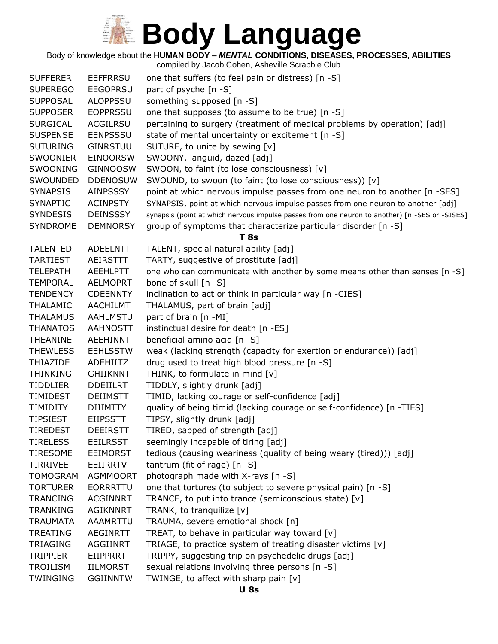Body of knowledge about the **HUMAN BODY –** *MENTAL* **CONDITIONS, DISEASES, PROCESSES, ABILITIES**

| <b>SUFFERER</b> | <b>EEFFRRSU</b> | one that suffers (to feel pain or distress) [n -S]                                             |
|-----------------|-----------------|------------------------------------------------------------------------------------------------|
| <b>SUPEREGO</b> | <b>EEGOPRSU</b> | part of psyche [n -S]                                                                          |
| <b>SUPPOSAL</b> | <b>ALOPPSSU</b> | something supposed [n -S]                                                                      |
| <b>SUPPOSER</b> | <b>EOPPRSSU</b> | one that supposes (to assume to be true) [n -S]                                                |
| <b>SURGICAL</b> | <b>ACGILRSU</b> | pertaining to surgery (treatment of medical problems by operation) [adj]                       |
| <b>SUSPENSE</b> | <b>EENPSSSU</b> | state of mental uncertainty or excitement [n -S]                                               |
| <b>SUTURING</b> | <b>GINRSTUU</b> | SUTURE, to unite by sewing [v]                                                                 |
| <b>SWOONIER</b> | <b>EINOORSW</b> | SWOONY, languid, dazed [adj]                                                                   |
| SWOONING        | <b>GINNOOSW</b> | SWOON, to faint (to lose consciousness) [v]                                                    |
| SWOUNDED        | <b>DDENOSUW</b> | SWOUND, to swoon (to faint (to lose consciousness)) [v]                                        |
| <b>SYNAPSIS</b> | <b>AINPSSSY</b> | point at which nervous impulse passes from one neuron to another [n -SES]                      |
| <b>SYNAPTIC</b> | <b>ACINPSTY</b> | SYNAPSIS, point at which nervous impulse passes from one neuron to another [adj]               |
| <b>SYNDESIS</b> | <b>DEINSSSY</b> | synapsis (point at which nervous impulse passes from one neuron to another) [n -SES or -SISES] |
| <b>SYNDROME</b> | <b>DEMNORSY</b> | group of symptoms that characterize particular disorder [n -S]                                 |
|                 |                 | <b>T</b> 8s                                                                                    |
| <b>TALENTED</b> | <b>ADEELNTT</b> | TALENT, special natural ability [adj]                                                          |
| <b>TARTIEST</b> | AEIRSTTT        | TARTY, suggestive of prostitute [adj]                                                          |
| <b>TELEPATH</b> | <b>AEEHLPTT</b> | one who can communicate with another by some means other than senses [n -S]                    |
| <b>TEMPORAL</b> | <b>AELMOPRT</b> | bone of skull [n -S]                                                                           |
| <b>TENDENCY</b> | <b>CDEENNTY</b> | inclination to act or think in particular way [n -CIES]                                        |
| <b>THALAMIC</b> | <b>AACHILMT</b> | THALAMUS, part of brain [adj]                                                                  |
| <b>THALAMUS</b> | <b>AAHLMSTU</b> | part of brain [n -MI]                                                                          |
| <b>THANATOS</b> | <b>AAHNOSTT</b> | instinctual desire for death [n -ES]                                                           |
| <b>THEANINE</b> | <b>AEEHINNT</b> | beneficial amino acid [n -S]                                                                   |
| <b>THEWLESS</b> | <b>EEHLSSTW</b> | weak (lacking strength (capacity for exertion or endurance)) [adj]                             |
| <b>THIAZIDE</b> | <b>ADEHIITZ</b> | drug used to treat high blood pressure [n -S]                                                  |
| <b>THINKING</b> | <b>GHIIKNNT</b> | THINK, to formulate in mind [v]                                                                |
| <b>TIDDLIER</b> | <b>DDEIILRT</b> | TIDDLY, slightly drunk [adj]                                                                   |
| <b>TIMIDEST</b> | <b>DEIIMSTT</b> | TIMID, lacking courage or self-confidence [adj]                                                |
| <b>TIMIDITY</b> | <b>DIIIMTTY</b> | quality of being timid (lacking courage or self-confidence) [n -TIES]                          |
| <b>TIPSIEST</b> | <b>EIIPSSTT</b> | TIPSY, slightly drunk [adj]                                                                    |
| <b>TIREDEST</b> | <b>DEEIRSTT</b> | TIRED, sapped of strength [adj]                                                                |
| <b>TIRELESS</b> | <b>EEILRSST</b> | seemingly incapable of tiring [adj]                                                            |
| <b>TIRESOME</b> | <b>EEIMORST</b> | tedious (causing weariness (quality of being weary (tired))) [adj]                             |
| <b>TIRRIVEE</b> | EEIIRRTV        | tantrum (fit of rage) $[n - S]$                                                                |
| <b>TOMOGRAM</b> | <b>AGMMOORT</b> | photograph made with X-rays [n -S]                                                             |
| <b>TORTURER</b> | <b>EORRRTTU</b> | one that tortures (to subject to severe physical pain) [n -S]                                  |
| <b>TRANCING</b> | <b>ACGINNRT</b> | TRANCE, to put into trance (semiconscious state) [v]                                           |
| <b>TRANKING</b> | <b>AGIKNNRT</b> | TRANK, to tranquilize [v]                                                                      |
| <b>TRAUMATA</b> | AAAMRTTU        | TRAUMA, severe emotional shock [n]                                                             |
| <b>TREATING</b> | <b>AEGINRTT</b> | TREAT, to behave in particular way toward [v]                                                  |
| <b>TRIAGING</b> | <b>AGGIINRT</b> | TRIAGE, to practice system of treating disaster victims [v]                                    |
| <b>TRIPPIER</b> | EIIPPRRT        | TRIPPY, suggesting trip on psychedelic drugs [adj]                                             |
| TROILISM        | <b>IILMORST</b> | sexual relations involving three persons [n -S]                                                |
| <b>TWINGING</b> | <b>GGIINNTW</b> | TWINGE, to affect with sharp pain [v]                                                          |
|                 |                 |                                                                                                |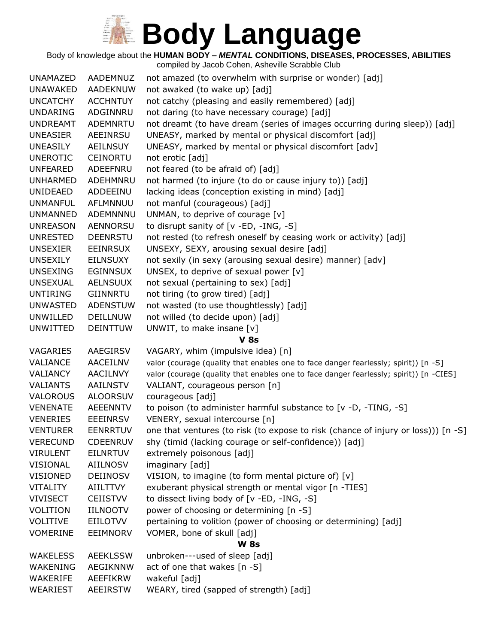Body of knowledge about the **HUMAN BODY –** *MENTAL* **CONDITIONS, DISEASES, PROCESSES, ABILITIES**

| <b>UNAMAZED</b> | AADEMNUZ        | not amazed (to overwhelm with surprise or wonder) [adj]                                |
|-----------------|-----------------|----------------------------------------------------------------------------------------|
| <b>UNAWAKED</b> | AADEKNUW        | not awaked (to wake up) [adj]                                                          |
| <b>UNCATCHY</b> | <b>ACCHNTUY</b> | not catchy (pleasing and easily remembered) [adj]                                      |
| <b>UNDARING</b> | ADGINNRU        | not daring (to have necessary courage) [adj]                                           |
| <b>UNDREAMT</b> | ADEMNRTU        | not dreamt (to have dream (series of images occurring during sleep)) [adj]             |
| <b>UNEASIER</b> | AEEINRSU        | UNEASY, marked by mental or physical discomfort [adj]                                  |
| <b>UNEASILY</b> | <b>AEILNSUY</b> | UNEASY, marked by mental or physical discomfort [adv]                                  |
| <b>UNEROTIC</b> | <b>CEINORTU</b> | not erotic [adj]                                                                       |
| <b>UNFEARED</b> | ADEEFNRU        | not feared (to be afraid of) [adj]                                                     |
| <b>UNHARMED</b> | ADEHMNRU        | not harmed (to injure (to do or cause injury to)) [adj]                                |
| <b>UNIDEAED</b> | ADDEEINU        | lacking ideas (conception existing in mind) [adj]                                      |
| <b>UNMANFUL</b> | AFLMNNUU        | not manful (courageous) [adj]                                                          |
| <b>UNMANNED</b> | ADEMNNNU        | UNMAN, to deprive of courage [v]                                                       |
| <b>UNREASON</b> | AENNORSU        | to disrupt sanity of [v -ED, -ING, -S]                                                 |
| <b>UNRESTED</b> | <b>DEENRSTU</b> | not rested (to refresh oneself by ceasing work or activity) [adj]                      |
| <b>UNSEXIER</b> | <b>EEINRSUX</b> | UNSEXY, SEXY, arousing sexual desire [adj]                                             |
| <b>UNSEXILY</b> | <b>EILNSUXY</b> | not sexily (in sexy (arousing sexual desire) manner) [adv]                             |
| <b>UNSEXING</b> | <b>EGINNSUX</b> | UNSEX, to deprive of sexual power [v]                                                  |
| <b>UNSEXUAL</b> | <b>AELNSUUX</b> | not sexual (pertaining to sex) [adj]                                                   |
| <b>UNTIRING</b> | GIINNRTU        | not tiring (to grow tired) [adj]                                                       |
| <b>UNWASTED</b> | <b>ADENSTUW</b> | not wasted (to use thoughtlessly) [adj]                                                |
| <b>UNWILLED</b> | <b>DEILLNUW</b> | not willed (to decide upon) [adj]                                                      |
| <b>UNWITTED</b> | <b>DEINTTUW</b> | UNWIT, to make insane [v]                                                              |
|                 |                 | <b>V 8s</b>                                                                            |
| VAGARIES        | AAEGIRSV        | VAGARY, whim (impulsive idea) [n]                                                      |
| VALIANCE        | AACEILNV        | valor (courage (quality that enables one to face danger fearlessly; spirit)) [n -S]    |
| VALIANCY        | <b>AACILNVY</b> | valor (courage (quality that enables one to face danger fearlessly; spirit)) [n -CIES] |
| <b>VALIANTS</b> | <b>AAILNSTV</b> | VALIANT, courageous person [n]                                                         |
| <b>VALOROUS</b> | <b>ALOORSUV</b> | courageous [adj]                                                                       |
| <b>VENENATE</b> | <b>AEEENNTV</b> | to poison (to administer harmful substance to [v -D, -TING, -S]                        |
| <b>VENERIES</b> | <b>EEEINRSV</b> | VENERY, sexual intercourse [n]                                                         |
| <b>VENTURER</b> | <b>EENRRTUV</b> | one that ventures (to risk (to expose to risk (chance of injury or loss))) [n -S]      |
| <b>VERECUND</b> | <b>CDEENRUV</b> | shy (timid (lacking courage or self-confidence)) [adj]                                 |
| <b>VIRULENT</b> | <b>EILNRTUV</b> | extremely poisonous [adj]                                                              |
| <b>VISIONAL</b> | AIILNOSV        | imaginary [adj]                                                                        |
| <b>VISIONED</b> | DEIINOSV        | VISION, to imagine (to form mental picture of) [v]                                     |
| <b>VITALITY</b> | <b>AIILTTVY</b> | exuberant physical strength or mental vigor [n -TIES]                                  |
| <b>VIVISECT</b> | <b>CEIISTVV</b> | to dissect living body of [v -ED, -ING, -S]                                            |
| <b>VOLITION</b> | <b>IILNOOTV</b> | power of choosing or determining [n -S]                                                |
| <b>VOLITIVE</b> | <b>EIILOTVV</b> | pertaining to volition (power of choosing or determining) [adj]                        |
| <b>VOMERINE</b> | EEIMNORV        | VOMER, bone of skull [adj]                                                             |
|                 |                 | <b>W</b> 8s                                                                            |
| <b>WAKELESS</b> | <b>AEEKLSSW</b> | unbroken---used of sleep [adj]                                                         |
| <b>WAKENING</b> | AEGIKNNW        | act of one that wakes [n -S]                                                           |
| WAKERIFE        | AEEFIKRW        | wakeful [adj]                                                                          |
| WEARIEST        | <b>AEEIRSTW</b> | WEARY, tired (sapped of strength) [adj]                                                |